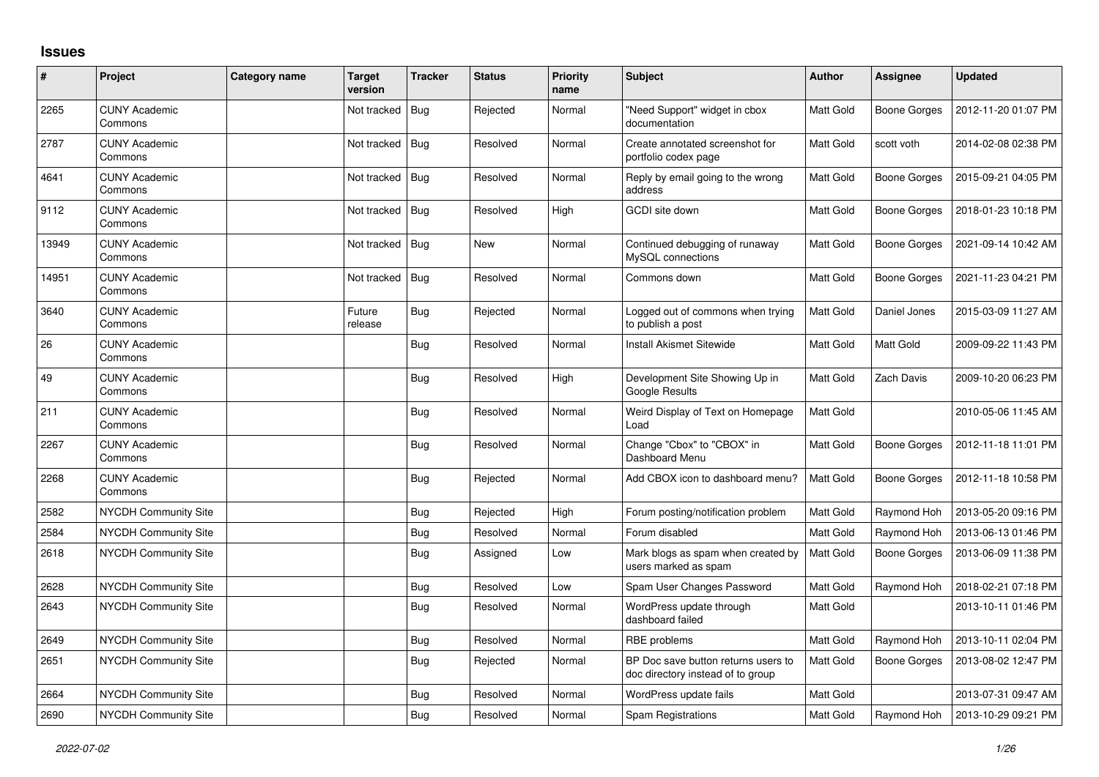## **Issues**

| #     | Project                         | <b>Category name</b> | <b>Target</b><br>version | <b>Tracker</b> | <b>Status</b> | Priority<br>name | <b>Subject</b>                                                           | <b>Author</b>    | Assignee     | <b>Updated</b>      |
|-------|---------------------------------|----------------------|--------------------------|----------------|---------------|------------------|--------------------------------------------------------------------------|------------------|--------------|---------------------|
| 2265  | <b>CUNY Academic</b><br>Commons |                      | Not tracked   Bug        |                | Rejected      | Normal           | "Need Support" widget in cbox<br>documentation                           | Matt Gold        | Boone Gorges | 2012-11-20 01:07 PM |
| 2787  | <b>CUNY Academic</b><br>Commons |                      | Not tracked   Bug        |                | Resolved      | Normal           | Create annotated screenshot for<br>portfolio codex page                  | Matt Gold        | scott voth   | 2014-02-08 02:38 PM |
| 4641  | <b>CUNY Academic</b><br>Commons |                      | Not tracked              | Bug            | Resolved      | Normal           | Reply by email going to the wrong<br>address                             | Matt Gold        | Boone Gorges | 2015-09-21 04:05 PM |
| 9112  | <b>CUNY Academic</b><br>Commons |                      | Not tracked              | Bug            | Resolved      | High             | GCDI site down                                                           | Matt Gold        | Boone Gorges | 2018-01-23 10:18 PM |
| 13949 | <b>CUNY Academic</b><br>Commons |                      | Not tracked              | Bug            | New           | Normal           | Continued debugging of runaway<br>MySQL connections                      | Matt Gold        | Boone Gorges | 2021-09-14 10:42 AM |
| 14951 | <b>CUNY Academic</b><br>Commons |                      | Not tracked              | Bug            | Resolved      | Normal           | Commons down                                                             | Matt Gold        | Boone Gorges | 2021-11-23 04:21 PM |
| 3640  | <b>CUNY Academic</b><br>Commons |                      | Future<br>release        | Bug            | Rejected      | Normal           | Logged out of commons when trying<br>to publish a post                   | Matt Gold        | Daniel Jones | 2015-03-09 11:27 AM |
| 26    | <b>CUNY Academic</b><br>Commons |                      |                          | <b>Bug</b>     | Resolved      | Normal           | <b>Install Akismet Sitewide</b>                                          | Matt Gold        | Matt Gold    | 2009-09-22 11:43 PM |
| 49    | <b>CUNY Academic</b><br>Commons |                      |                          | Bug            | Resolved      | High             | Development Site Showing Up in<br><b>Google Results</b>                  | Matt Gold        | Zach Davis   | 2009-10-20 06:23 PM |
| 211   | <b>CUNY Academic</b><br>Commons |                      |                          | <b>Bug</b>     | Resolved      | Normal           | Weird Display of Text on Homepage<br>Load                                | Matt Gold        |              | 2010-05-06 11:45 AM |
| 2267  | <b>CUNY Academic</b><br>Commons |                      |                          | <b>Bug</b>     | Resolved      | Normal           | Change "Cbox" to "CBOX" in<br>Dashboard Menu                             | Matt Gold        | Boone Gorges | 2012-11-18 11:01 PM |
| 2268  | <b>CUNY Academic</b><br>Commons |                      |                          | Bug            | Rejected      | Normal           | Add CBOX icon to dashboard menu?                                         | Matt Gold        | Boone Gorges | 2012-11-18 10:58 PM |
| 2582  | <b>NYCDH Community Site</b>     |                      |                          | Bug            | Rejected      | High             | Forum posting/notification problem                                       | Matt Gold        | Raymond Hoh  | 2013-05-20 09:16 PM |
| 2584  | <b>NYCDH Community Site</b>     |                      |                          | <b>Bug</b>     | Resolved      | Normal           | Forum disabled                                                           | Matt Gold        | Raymond Hoh  | 2013-06-13 01:46 PM |
| 2618  | NYCDH Community Site            |                      |                          | Bug            | Assigned      | Low              | Mark blogs as spam when created by<br>users marked as spam               | Matt Gold        | Boone Gorges | 2013-06-09 11:38 PM |
| 2628  | NYCDH Community Site            |                      |                          | <b>Bug</b>     | Resolved      | Low              | Spam User Changes Password                                               | Matt Gold        | Raymond Hoh  | 2018-02-21 07:18 PM |
| 2643  | <b>NYCDH Community Site</b>     |                      |                          | Bug            | Resolved      | Normal           | WordPress update through<br>dashboard failed                             | Matt Gold        |              | 2013-10-11 01:46 PM |
| 2649  | <b>NYCDH Community Site</b>     |                      |                          | Bug            | Resolved      | Normal           | RBE problems                                                             | Matt Gold        | Raymond Hoh  | 2013-10-11 02:04 PM |
| 2651  | NYCDH Community Site            |                      |                          | Bug            | Rejected      | Normal           | BP Doc save button returns users to<br>doc directory instead of to group | Matt Gold        | Boone Gorges | 2013-08-02 12:47 PM |
| 2664  | NYCDH Community Site            |                      |                          | <b>Bug</b>     | Resolved      | Normal           | WordPress update fails                                                   | Matt Gold        |              | 2013-07-31 09:47 AM |
| 2690  | <b>NYCDH Community Site</b>     |                      |                          | Bug            | Resolved      | Normal           | Spam Registrations                                                       | <b>Matt Gold</b> | Raymond Hoh  | 2013-10-29 09:21 PM |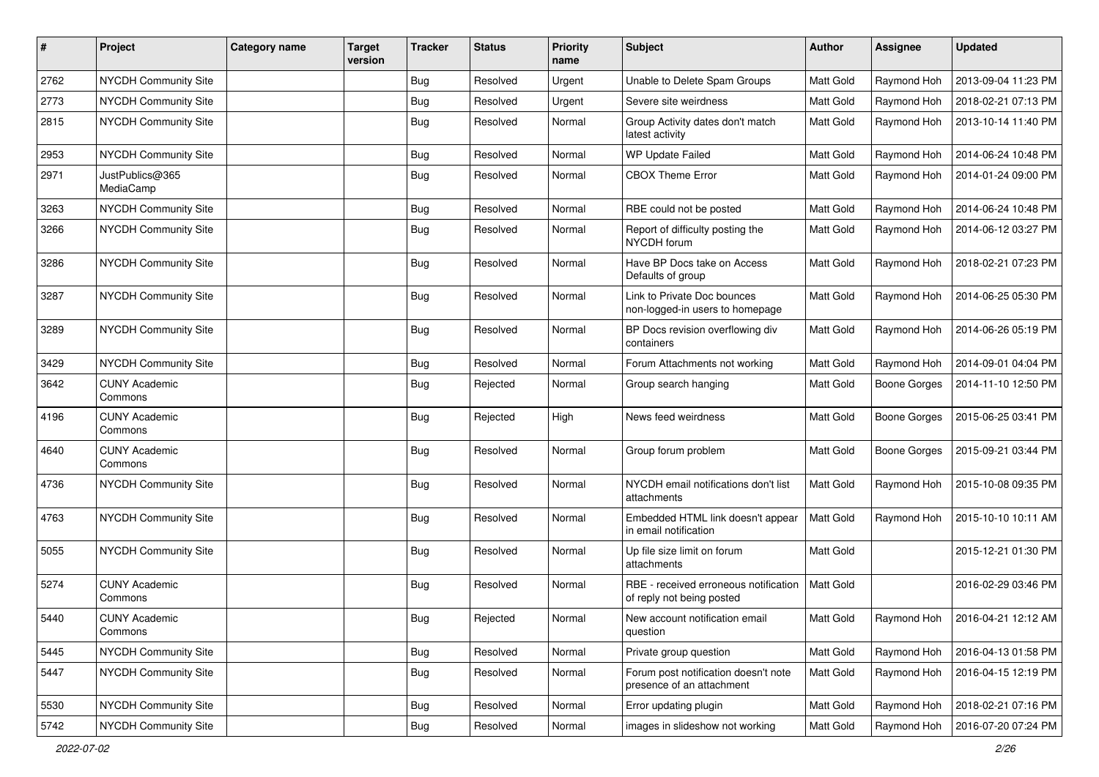| $\pmb{\#}$ | Project                         | <b>Category name</b> | <b>Target</b><br>version | <b>Tracker</b> | <b>Status</b> | <b>Priority</b><br>name | <b>Subject</b>                                                     | <b>Author</b>    | <b>Assignee</b>     | <b>Updated</b>      |
|------------|---------------------------------|----------------------|--------------------------|----------------|---------------|-------------------------|--------------------------------------------------------------------|------------------|---------------------|---------------------|
| 2762       | NYCDH Community Site            |                      |                          | Bug            | Resolved      | Urgent                  | Unable to Delete Spam Groups                                       | Matt Gold        | Raymond Hoh         | 2013-09-04 11:23 PM |
| 2773       | NYCDH Community Site            |                      |                          | Bug            | Resolved      | Urgent                  | Severe site weirdness                                              | Matt Gold        | Raymond Hoh         | 2018-02-21 07:13 PM |
| 2815       | NYCDH Community Site            |                      |                          | <b>Bug</b>     | Resolved      | Normal                  | Group Activity dates don't match<br>latest activity                | <b>Matt Gold</b> | Raymond Hoh         | 2013-10-14 11:40 PM |
| 2953       | NYCDH Community Site            |                      |                          | Bug            | Resolved      | Normal                  | WP Update Failed                                                   | Matt Gold        | Raymond Hoh         | 2014-06-24 10:48 PM |
| 2971       | JustPublics@365<br>MediaCamp    |                      |                          | Bug            | Resolved      | Normal                  | <b>CBOX Theme Error</b>                                            | Matt Gold        | Raymond Hoh         | 2014-01-24 09:00 PM |
| 3263       | NYCDH Community Site            |                      |                          | Bug            | Resolved      | Normal                  | RBE could not be posted                                            | Matt Gold        | Raymond Hoh         | 2014-06-24 10:48 PM |
| 3266       | NYCDH Community Site            |                      |                          | Bug            | Resolved      | Normal                  | Report of difficulty posting the<br>NYCDH forum                    | <b>Matt Gold</b> | Raymond Hoh         | 2014-06-12 03:27 PM |
| 3286       | NYCDH Community Site            |                      |                          | Bug            | Resolved      | Normal                  | Have BP Docs take on Access<br>Defaults of group                   | Matt Gold        | Raymond Hoh         | 2018-02-21 07:23 PM |
| 3287       | NYCDH Community Site            |                      |                          | Bug            | Resolved      | Normal                  | Link to Private Doc bounces<br>non-logged-in users to homepage     | Matt Gold        | Raymond Hoh         | 2014-06-25 05:30 PM |
| 3289       | NYCDH Community Site            |                      |                          | Bug            | Resolved      | Normal                  | BP Docs revision overflowing div<br>containers                     | Matt Gold        | Raymond Hoh         | 2014-06-26 05:19 PM |
| 3429       | NYCDH Community Site            |                      |                          | <b>Bug</b>     | Resolved      | Normal                  | Forum Attachments not working                                      | Matt Gold        | Raymond Hoh         | 2014-09-01 04:04 PM |
| 3642       | <b>CUNY Academic</b><br>Commons |                      |                          | Bug            | Rejected      | Normal                  | Group search hanging                                               | <b>Matt Gold</b> | <b>Boone Gorges</b> | 2014-11-10 12:50 PM |
| 4196       | <b>CUNY Academic</b><br>Commons |                      |                          | <b>Bug</b>     | Rejected      | High                    | News feed weirdness                                                | Matt Gold        | <b>Boone Gorges</b> | 2015-06-25 03:41 PM |
| 4640       | <b>CUNY Academic</b><br>Commons |                      |                          | Bug            | Resolved      | Normal                  | Group forum problem                                                | Matt Gold        | Boone Gorges        | 2015-09-21 03:44 PM |
| 4736       | NYCDH Community Site            |                      |                          | Bug            | Resolved      | Normal                  | NYCDH email notifications don't list<br>attachments                | Matt Gold        | Raymond Hoh         | 2015-10-08 09:35 PM |
| 4763       | NYCDH Community Site            |                      |                          | Bug            | Resolved      | Normal                  | Embedded HTML link doesn't appear<br>in email notification         | Matt Gold        | Raymond Hoh         | 2015-10-10 10:11 AM |
| 5055       | NYCDH Community Site            |                      |                          | <b>Bug</b>     | Resolved      | Normal                  | Up file size limit on forum<br>attachments                         | Matt Gold        |                     | 2015-12-21 01:30 PM |
| 5274       | <b>CUNY Academic</b><br>Commons |                      |                          | Bug            | Resolved      | Normal                  | RBE - received erroneous notification<br>of reply not being posted | <b>Matt Gold</b> |                     | 2016-02-29 03:46 PM |
| 5440       | <b>CUNY Academic</b><br>Commons |                      |                          | Bug            | Rejected      | Normal                  | New account notification email<br>question                         | Matt Gold        | Raymond Hoh         | 2016-04-21 12:12 AM |
| 5445       | NYCDH Community Site            |                      |                          | <b>Bug</b>     | Resolved      | Normal                  | Private group question                                             | Matt Gold        | Raymond Hoh         | 2016-04-13 01:58 PM |
| 5447       | NYCDH Community Site            |                      |                          | <b>Bug</b>     | Resolved      | Normal                  | Forum post notification doesn't note<br>presence of an attachment  | Matt Gold        | Raymond Hoh         | 2016-04-15 12:19 PM |
| 5530       | NYCDH Community Site            |                      |                          | Bug            | Resolved      | Normal                  | Error updating plugin                                              | Matt Gold        | Raymond Hoh         | 2018-02-21 07:16 PM |
| 5742       | NYCDH Community Site            |                      |                          | <b>Bug</b>     | Resolved      | Normal                  | images in slideshow not working                                    | Matt Gold        | Raymond Hoh         | 2016-07-20 07:24 PM |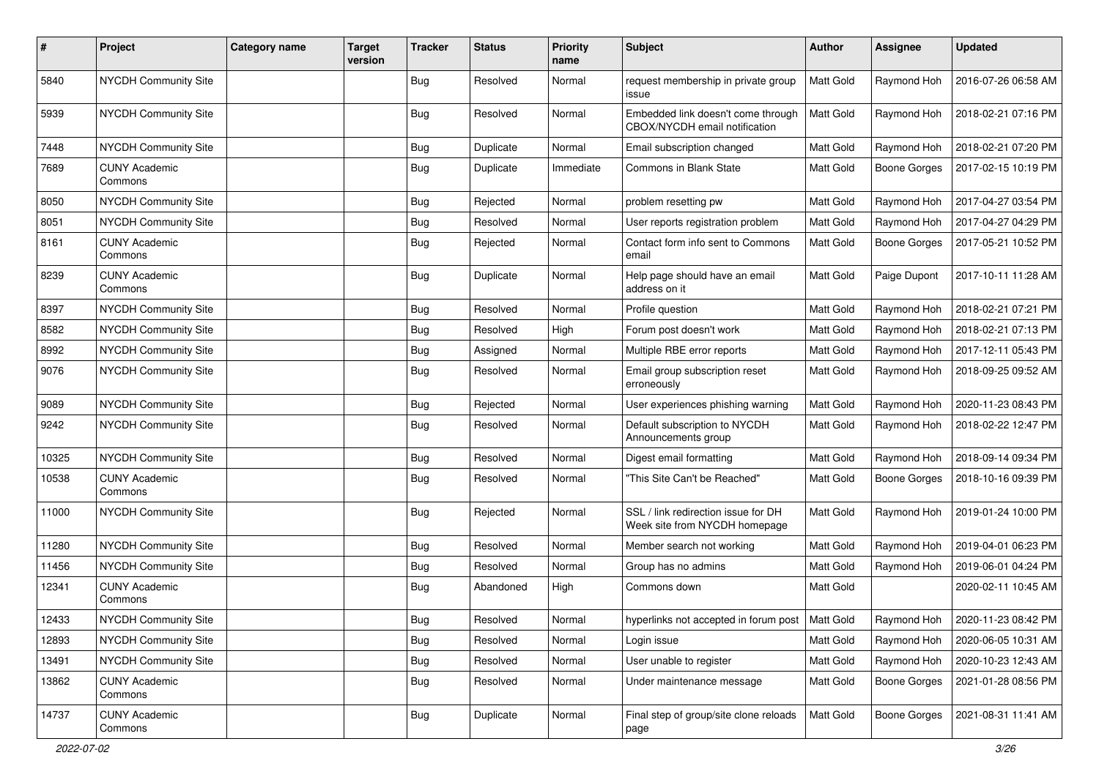| #     | Project                         | <b>Category name</b> | <b>Target</b><br>version | <b>Tracker</b> | <b>Status</b> | <b>Priority</b><br>name | Subject                                                              | <b>Author</b>    | <b>Assignee</b>     | <b>Updated</b>      |
|-------|---------------------------------|----------------------|--------------------------|----------------|---------------|-------------------------|----------------------------------------------------------------------|------------------|---------------------|---------------------|
| 5840  | NYCDH Community Site            |                      |                          | <b>Bug</b>     | Resolved      | Normal                  | request membership in private group<br>issue                         | Matt Gold        | Raymond Hoh         | 2016-07-26 06:58 AM |
| 5939  | NYCDH Community Site            |                      |                          | <b>Bug</b>     | Resolved      | Normal                  | Embedded link doesn't come through<br>CBOX/NYCDH email notification  | <b>Matt Gold</b> | Raymond Hoh         | 2018-02-21 07:16 PM |
| 7448  | NYCDH Community Site            |                      |                          | <b>Bug</b>     | Duplicate     | Normal                  | Email subscription changed                                           | Matt Gold        | Raymond Hoh         | 2018-02-21 07:20 PM |
| 7689  | <b>CUNY Academic</b><br>Commons |                      |                          | Bug            | Duplicate     | Immediate               | Commons in Blank State                                               | Matt Gold        | <b>Boone Gorges</b> | 2017-02-15 10:19 PM |
| 8050  | NYCDH Community Site            |                      |                          | <b>Bug</b>     | Rejected      | Normal                  | problem resetting pw                                                 | Matt Gold        | Raymond Hoh         | 2017-04-27 03:54 PM |
| 8051  | NYCDH Community Site            |                      |                          | <b>Bug</b>     | Resolved      | Normal                  | User reports registration problem                                    | Matt Gold        | Raymond Hoh         | 2017-04-27 04:29 PM |
| 8161  | <b>CUNY Academic</b><br>Commons |                      |                          | Bug            | Rejected      | Normal                  | Contact form info sent to Commons<br>email                           | Matt Gold        | <b>Boone Gorges</b> | 2017-05-21 10:52 PM |
| 8239  | <b>CUNY Academic</b><br>Commons |                      |                          | <b>Bug</b>     | Duplicate     | Normal                  | Help page should have an email<br>address on it                      | Matt Gold        | Paige Dupont        | 2017-10-11 11:28 AM |
| 8397  | NYCDH Community Site            |                      |                          | Bug            | Resolved      | Normal                  | Profile question                                                     | Matt Gold        | Raymond Hoh         | 2018-02-21 07:21 PM |
| 8582  | NYCDH Community Site            |                      |                          | Bug            | Resolved      | High                    | Forum post doesn't work                                              | Matt Gold        | Raymond Hoh         | 2018-02-21 07:13 PM |
| 8992  | NYCDH Community Site            |                      |                          | <b>Bug</b>     | Assigned      | Normal                  | Multiple RBE error reports                                           | Matt Gold        | Raymond Hoh         | 2017-12-11 05:43 PM |
| 9076  | NYCDH Community Site            |                      |                          | <b>Bug</b>     | Resolved      | Normal                  | Email group subscription reset<br>erroneously                        | Matt Gold        | Raymond Hoh         | 2018-09-25 09:52 AM |
| 9089  | NYCDH Community Site            |                      |                          | <b>Bug</b>     | Rejected      | Normal                  | User experiences phishing warning                                    | Matt Gold        | Raymond Hoh         | 2020-11-23 08:43 PM |
| 9242  | NYCDH Community Site            |                      |                          | <b>Bug</b>     | Resolved      | Normal                  | Default subscription to NYCDH<br>Announcements group                 | Matt Gold        | Raymond Hoh         | 2018-02-22 12:47 PM |
| 10325 | NYCDH Community Site            |                      |                          | <b>Bug</b>     | Resolved      | Normal                  | Digest email formatting                                              | Matt Gold        | Raymond Hoh         | 2018-09-14 09:34 PM |
| 10538 | <b>CUNY Academic</b><br>Commons |                      |                          | Bug            | Resolved      | Normal                  | "This Site Can't be Reached"                                         | Matt Gold        | Boone Gorges        | 2018-10-16 09:39 PM |
| 11000 | NYCDH Community Site            |                      |                          | <b>Bug</b>     | Rejected      | Normal                  | SSL / link redirection issue for DH<br>Week site from NYCDH homepage | Matt Gold        | Raymond Hoh         | 2019-01-24 10:00 PM |
| 11280 | NYCDH Community Site            |                      |                          | <b>Bug</b>     | Resolved      | Normal                  | Member search not working                                            | Matt Gold        | Raymond Hoh         | 2019-04-01 06:23 PM |
| 11456 | NYCDH Community Site            |                      |                          | <b>Bug</b>     | Resolved      | Normal                  | Group has no admins                                                  | Matt Gold        | Raymond Hoh         | 2019-06-01 04:24 PM |
| 12341 | <b>CUNY Academic</b><br>Commons |                      |                          | Bug            | Abandoned     | High                    | Commons down                                                         | Matt Gold        |                     | 2020-02-11 10:45 AM |
| 12433 | NYCDH Community Site            |                      |                          | Bug            | Resolved      | Normal                  | hyperlinks not accepted in forum post   Matt Gold                    |                  | Raymond Hoh         | 2020-11-23 08:42 PM |
| 12893 | NYCDH Community Site            |                      |                          | <b>Bug</b>     | Resolved      | Normal                  | Login issue                                                          | <b>Matt Gold</b> | Raymond Hoh         | 2020-06-05 10:31 AM |
| 13491 | NYCDH Community Site            |                      |                          | <b>Bug</b>     | Resolved      | Normal                  | User unable to register                                              | Matt Gold        | Raymond Hoh         | 2020-10-23 12:43 AM |
| 13862 | <b>CUNY Academic</b><br>Commons |                      |                          | <b>Bug</b>     | Resolved      | Normal                  | Under maintenance message                                            | Matt Gold        | Boone Gorges        | 2021-01-28 08:56 PM |
| 14737 | <b>CUNY Academic</b><br>Commons |                      |                          | <b>Bug</b>     | Duplicate     | Normal                  | Final step of group/site clone reloads<br>page                       | <b>Matt Gold</b> | <b>Boone Gorges</b> | 2021-08-31 11:41 AM |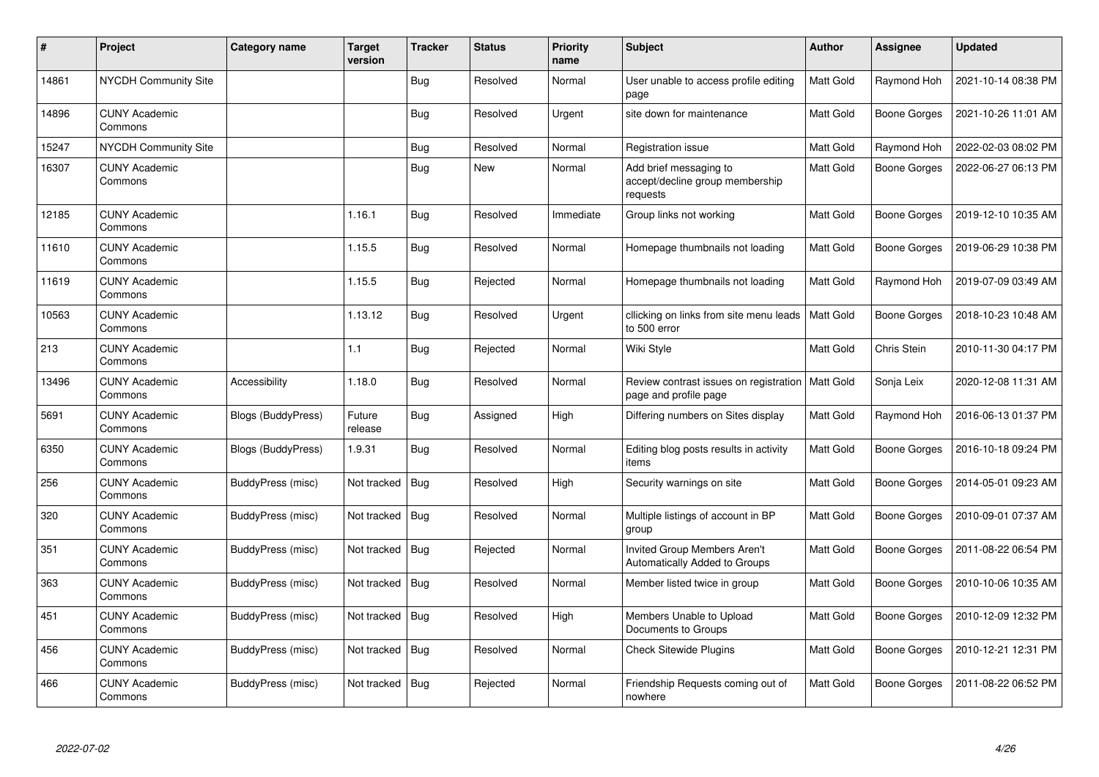| $\pmb{\#}$ | Project                         | Category name      | <b>Target</b><br>version | <b>Tracker</b> | <b>Status</b> | <b>Priority</b><br>name | <b>Subject</b>                                                        | <b>Author</b>    | <b>Assignee</b>     | <b>Updated</b>      |
|------------|---------------------------------|--------------------|--------------------------|----------------|---------------|-------------------------|-----------------------------------------------------------------------|------------------|---------------------|---------------------|
| 14861      | NYCDH Community Site            |                    |                          | Bug            | Resolved      | Normal                  | User unable to access profile editing<br>page                         | Matt Gold        | Raymond Hoh         | 2021-10-14 08:38 PM |
| 14896      | <b>CUNY Academic</b><br>Commons |                    |                          | <b>Bug</b>     | Resolved      | Urgent                  | site down for maintenance                                             | Matt Gold        | <b>Boone Gorges</b> | 2021-10-26 11:01 AM |
| 15247      | <b>NYCDH Community Site</b>     |                    |                          | <b>Bug</b>     | Resolved      | Normal                  | Registration issue                                                    | Matt Gold        | Raymond Hoh         | 2022-02-03 08:02 PM |
| 16307      | <b>CUNY Academic</b><br>Commons |                    |                          | <b>Bug</b>     | <b>New</b>    | Normal                  | Add brief messaging to<br>accept/decline group membership<br>requests | Matt Gold        | Boone Gorges        | 2022-06-27 06:13 PM |
| 12185      | <b>CUNY Academic</b><br>Commons |                    | 1.16.1                   | <b>Bug</b>     | Resolved      | Immediate               | Group links not working                                               | Matt Gold        | <b>Boone Gorges</b> | 2019-12-10 10:35 AM |
| 11610      | <b>CUNY Academic</b><br>Commons |                    | 1.15.5                   | Bug            | Resolved      | Normal                  | Homepage thumbnails not loading                                       | Matt Gold        | Boone Gorges        | 2019-06-29 10:38 PM |
| 11619      | <b>CUNY Academic</b><br>Commons |                    | 1.15.5                   | Bug            | Rejected      | Normal                  | Homepage thumbnails not loading                                       | Matt Gold        | Raymond Hoh         | 2019-07-09 03:49 AM |
| 10563      | <b>CUNY Academic</b><br>Commons |                    | 1.13.12                  | Bug            | Resolved      | Urgent                  | cllicking on links from site menu leads<br>to 500 error               | Matt Gold        | Boone Gorges        | 2018-10-23 10:48 AM |
| 213        | <b>CUNY Academic</b><br>Commons |                    | 1.1                      | Bug            | Rejected      | Normal                  | Wiki Style                                                            | Matt Gold        | Chris Stein         | 2010-11-30 04:17 PM |
| 13496      | <b>CUNY Academic</b><br>Commons | Accessibility      | 1.18.0                   | Bug            | Resolved      | Normal                  | Review contrast issues on registration<br>page and profile page       | <b>Matt Gold</b> | Sonja Leix          | 2020-12-08 11:31 AM |
| 5691       | <b>CUNY Academic</b><br>Commons | Blogs (BuddyPress) | Future<br>release        | Bug            | Assigned      | High                    | Differing numbers on Sites display                                    | Matt Gold        | Raymond Hoh         | 2016-06-13 01:37 PM |
| 6350       | <b>CUNY Academic</b><br>Commons | Blogs (BuddyPress) | 1.9.31                   | Bug            | Resolved      | Normal                  | Editing blog posts results in activity<br>items                       | Matt Gold        | Boone Gorges        | 2016-10-18 09:24 PM |
| 256        | <b>CUNY Academic</b><br>Commons | BuddyPress (misc)  | Not tracked              | Bug            | Resolved      | High                    | Security warnings on site                                             | Matt Gold        | Boone Gorges        | 2014-05-01 09:23 AM |
| 320        | <b>CUNY Academic</b><br>Commons | BuddyPress (misc)  | Not tracked              | Bug            | Resolved      | Normal                  | Multiple listings of account in BP<br>group                           | Matt Gold        | Boone Gorges        | 2010-09-01 07:37 AM |
| 351        | <b>CUNY Academic</b><br>Commons | BuddyPress (misc)  | Not tracked              | Bug            | Rejected      | Normal                  | Invited Group Members Aren't<br>Automatically Added to Groups         | Matt Gold        | Boone Gorges        | 2011-08-22 06:54 PM |
| 363        | <b>CUNY Academic</b><br>Commons | BuddyPress (misc)  | Not tracked   Bug        |                | Resolved      | Normal                  | Member listed twice in group                                          | Matt Gold        | Boone Gorges        | 2010-10-06 10:35 AM |
| 451        | <b>CUNY Academic</b><br>Commons | BuddyPress (misc)  | Not tracked              | Bug            | Resolved      | High                    | Members Unable to Upload<br>Documents to Groups                       | Matt Gold        | Boone Gorges        | 2010-12-09 12:32 PM |
| 456        | <b>CUNY Academic</b><br>Commons | BuddyPress (misc)  | Not tracked              | Bug            | Resolved      | Normal                  | <b>Check Sitewide Plugins</b>                                         | Matt Gold        | Boone Gorges        | 2010-12-21 12:31 PM |
| 466        | <b>CUNY Academic</b><br>Commons | BuddyPress (misc)  | Not tracked              | Bug            | Rejected      | Normal                  | Friendship Requests coming out of<br>nowhere                          | Matt Gold        | Boone Gorges        | 2011-08-22 06:52 PM |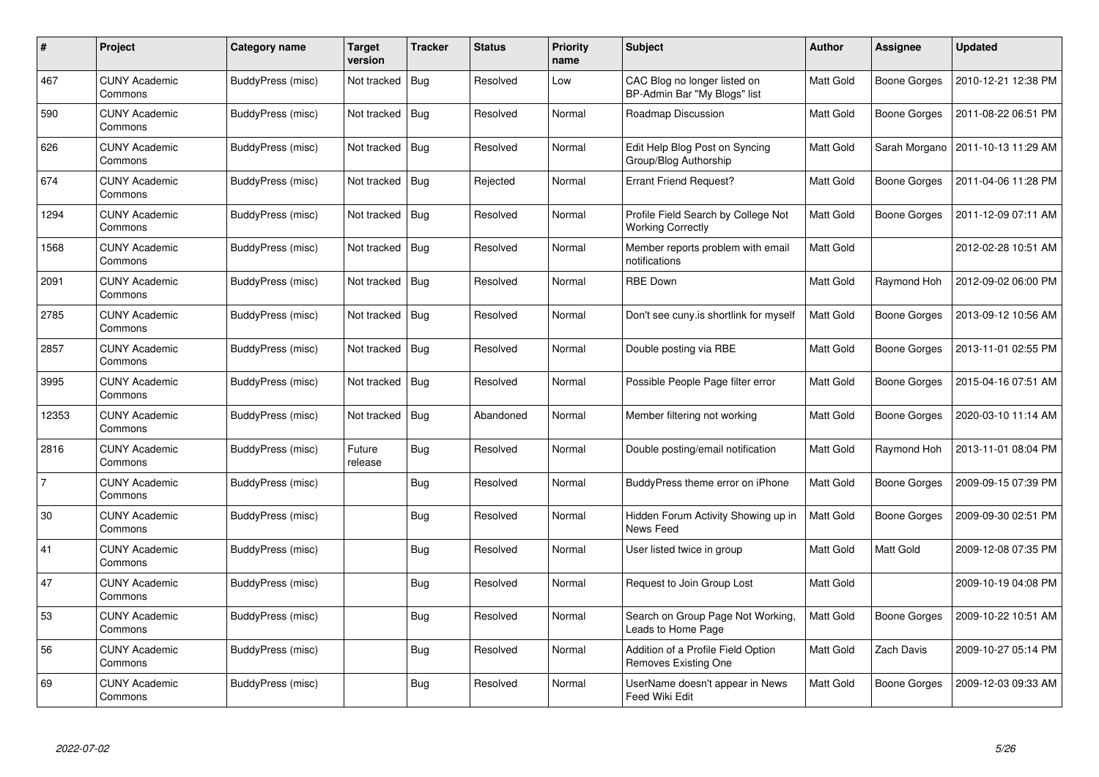| #              | Project                         | Category name     | <b>Target</b><br>version | <b>Tracker</b> | <b>Status</b> | <b>Priority</b><br>name | <b>Subject</b>                                                    | Author    | Assignee            | <b>Updated</b>      |
|----------------|---------------------------------|-------------------|--------------------------|----------------|---------------|-------------------------|-------------------------------------------------------------------|-----------|---------------------|---------------------|
| 467            | <b>CUNY Academic</b><br>Commons | BuddyPress (misc) | Not tracked              | <b>Bug</b>     | Resolved      | Low                     | CAC Blog no longer listed on<br>BP-Admin Bar "My Blogs" list      | Matt Gold | <b>Boone Gorges</b> | 2010-12-21 12:38 PM |
| 590            | <b>CUNY Academic</b><br>Commons | BuddyPress (misc) | Not tracked              | Bug            | Resolved      | Normal                  | Roadmap Discussion                                                | Matt Gold | Boone Gorges        | 2011-08-22 06:51 PM |
| 626            | <b>CUNY Academic</b><br>Commons | BuddyPress (misc) | Not tracked              | Bug            | Resolved      | Normal                  | Edit Help Blog Post on Syncing<br>Group/Blog Authorship           | Matt Gold | Sarah Morgano       | 2011-10-13 11:29 AM |
| 674            | <b>CUNY Academic</b><br>Commons | BuddyPress (misc) | Not tracked              | Bug            | Rejected      | Normal                  | <b>Errant Friend Request?</b>                                     | Matt Gold | <b>Boone Gorges</b> | 2011-04-06 11:28 PM |
| 1294           | <b>CUNY Academic</b><br>Commons | BuddyPress (misc) | Not tracked              | Bug            | Resolved      | Normal                  | Profile Field Search by College Not<br><b>Working Correctly</b>   | Matt Gold | Boone Gorges        | 2011-12-09 07:11 AM |
| 1568           | <b>CUNY Academic</b><br>Commons | BuddyPress (misc) | Not tracked              | Bug            | Resolved      | Normal                  | Member reports problem with email<br>notifications                | Matt Gold |                     | 2012-02-28 10:51 AM |
| 2091           | <b>CUNY Academic</b><br>Commons | BuddyPress (misc) | Not tracked              | <b>Bug</b>     | Resolved      | Normal                  | <b>RBE Down</b>                                                   | Matt Gold | Raymond Hoh         | 2012-09-02 06:00 PM |
| 2785           | <b>CUNY Academic</b><br>Commons | BuddyPress (misc) | Not tracked              | Bug            | Resolved      | Normal                  | Don't see cuny is shortlink for myself                            | Matt Gold | Boone Gorges        | 2013-09-12 10:56 AM |
| 2857           | <b>CUNY Academic</b><br>Commons | BuddyPress (misc) | Not tracked              | Bug            | Resolved      | Normal                  | Double posting via RBE                                            | Matt Gold | Boone Gorges        | 2013-11-01 02:55 PM |
| 3995           | <b>CUNY Academic</b><br>Commons | BuddyPress (misc) | Not tracked              | Bug            | Resolved      | Normal                  | Possible People Page filter error                                 | Matt Gold | Boone Gorges        | 2015-04-16 07:51 AM |
| 12353          | <b>CUNY Academic</b><br>Commons | BuddyPress (misc) | Not tracked              | <b>Bug</b>     | Abandoned     | Normal                  | Member filtering not working                                      | Matt Gold | <b>Boone Gorges</b> | 2020-03-10 11:14 AM |
| 2816           | <b>CUNY Academic</b><br>Commons | BuddyPress (misc) | Future<br>release        | <b>Bug</b>     | Resolved      | Normal                  | Double posting/email notification                                 | Matt Gold | Raymond Hoh         | 2013-11-01 08:04 PM |
| $\overline{7}$ | <b>CUNY Academic</b><br>Commons | BuddyPress (misc) |                          | Bug            | Resolved      | Normal                  | BuddyPress theme error on iPhone                                  | Matt Gold | <b>Boone Gorges</b> | 2009-09-15 07:39 PM |
| 30             | <b>CUNY Academic</b><br>Commons | BuddyPress (misc) |                          | <b>Bug</b>     | Resolved      | Normal                  | Hidden Forum Activity Showing up in<br>News Feed                  | Matt Gold | <b>Boone Gorges</b> | 2009-09-30 02:51 PM |
| 41             | <b>CUNY Academic</b><br>Commons | BuddyPress (misc) |                          | <b>Bug</b>     | Resolved      | Normal                  | User listed twice in group                                        | Matt Gold | Matt Gold           | 2009-12-08 07:35 PM |
| 47             | <b>CUNY Academic</b><br>Commons | BuddyPress (misc) |                          | <b>Bug</b>     | Resolved      | Normal                  | Request to Join Group Lost                                        | Matt Gold |                     | 2009-10-19 04:08 PM |
| 53             | <b>CUNY Academic</b><br>Commons | BuddyPress (misc) |                          | Bug            | Resolved      | Normal                  | Search on Group Page Not Working.<br>Leads to Home Page           | Matt Gold | Boone Gorges        | 2009-10-22 10:51 AM |
| 56             | <b>CUNY Academic</b><br>Commons | BuddyPress (misc) |                          | <b>Bug</b>     | Resolved      | Normal                  | Addition of a Profile Field Option<br><b>Removes Existing One</b> | Matt Gold | Zach Davis          | 2009-10-27 05:14 PM |
| 69             | CUNY Academic<br>Commons        | BuddyPress (misc) |                          | <b>Bug</b>     | Resolved      | Normal                  | UserName doesn't appear in News<br>Feed Wiki Edit                 | Matt Gold | Boone Gorges        | 2009-12-03 09:33 AM |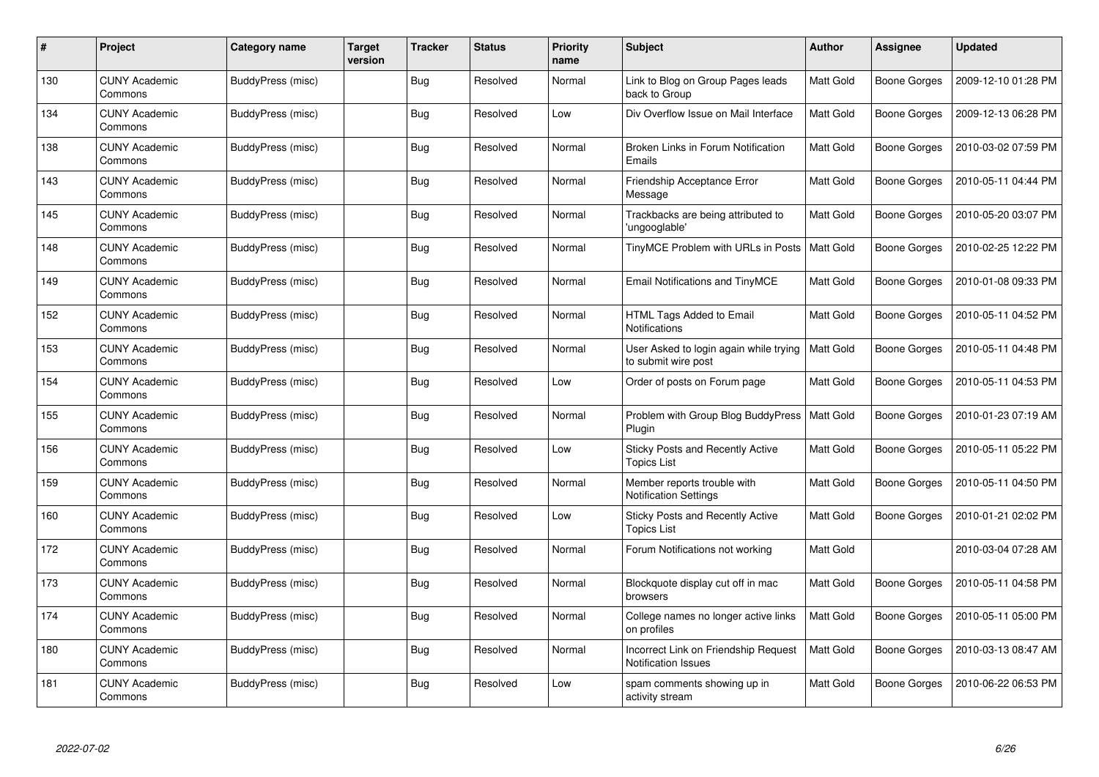| #   | Project                         | Category name            | <b>Target</b><br>version | <b>Tracker</b> | <b>Status</b> | <b>Priority</b><br>name | <b>Subject</b>                                                | <b>Author</b> | Assignee            | <b>Updated</b>      |
|-----|---------------------------------|--------------------------|--------------------------|----------------|---------------|-------------------------|---------------------------------------------------------------|---------------|---------------------|---------------------|
| 130 | <b>CUNY Academic</b><br>Commons | BuddyPress (misc)        |                          | <b>Bug</b>     | Resolved      | Normal                  | Link to Blog on Group Pages leads<br>back to Group            | Matt Gold     | Boone Gorges        | 2009-12-10 01:28 PM |
| 134 | <b>CUNY Academic</b><br>Commons | BuddyPress (misc)        |                          | Bug            | Resolved      | Low                     | Div Overflow Issue on Mail Interface                          | Matt Gold     | Boone Gorges        | 2009-12-13 06:28 PM |
| 138 | <b>CUNY Academic</b><br>Commons | BuddyPress (misc)        |                          | <b>Bug</b>     | Resolved      | Normal                  | Broken Links in Forum Notification<br>Emails                  | Matt Gold     | Boone Gorges        | 2010-03-02 07:59 PM |
| 143 | <b>CUNY Academic</b><br>Commons | BuddyPress (misc)        |                          | <b>Bug</b>     | Resolved      | Normal                  | Friendship Acceptance Error<br>Message                        | Matt Gold     | Boone Gorges        | 2010-05-11 04:44 PM |
| 145 | <b>CUNY Academic</b><br>Commons | BuddyPress (misc)        |                          | Bug            | Resolved      | Normal                  | Trackbacks are being attributed to<br>'ungooglable'           | Matt Gold     | <b>Boone Gorges</b> | 2010-05-20 03:07 PM |
| 148 | <b>CUNY Academic</b><br>Commons | BuddyPress (misc)        |                          | Bug            | Resolved      | Normal                  | TinyMCE Problem with URLs in Posts   Matt Gold                |               | Boone Gorges        | 2010-02-25 12:22 PM |
| 149 | <b>CUNY Academic</b><br>Commons | <b>BuddyPress (misc)</b> |                          | <b>Bug</b>     | Resolved      | Normal                  | Email Notifications and TinyMCE                               | Matt Gold     | Boone Gorges        | 2010-01-08 09:33 PM |
| 152 | <b>CUNY Academic</b><br>Commons | BuddyPress (misc)        |                          | <b>Bug</b>     | Resolved      | Normal                  | HTML Tags Added to Email<br><b>Notifications</b>              | Matt Gold     | Boone Gorges        | 2010-05-11 04:52 PM |
| 153 | <b>CUNY Academic</b><br>Commons | BuddyPress (misc)        |                          | Bug            | Resolved      | Normal                  | User Asked to login again while trying<br>to submit wire post | Matt Gold     | Boone Gorges        | 2010-05-11 04:48 PM |
| 154 | <b>CUNY Academic</b><br>Commons | BuddyPress (misc)        |                          | <b>Bug</b>     | Resolved      | Low                     | Order of posts on Forum page                                  | Matt Gold     | Boone Gorges        | 2010-05-11 04:53 PM |
| 155 | <b>CUNY Academic</b><br>Commons | BuddyPress (misc)        |                          | <b>Bug</b>     | Resolved      | Normal                  | Problem with Group Blog BuddyPress<br>Plugin                  | Matt Gold     | Boone Gorges        | 2010-01-23 07:19 AM |
| 156 | <b>CUNY Academic</b><br>Commons | BuddyPress (misc)        |                          | <b>Bug</b>     | Resolved      | Low                     | Sticky Posts and Recently Active<br><b>Topics List</b>        | Matt Gold     | Boone Gorges        | 2010-05-11 05:22 PM |
| 159 | <b>CUNY Academic</b><br>Commons | BuddyPress (misc)        |                          | Bug            | Resolved      | Normal                  | Member reports trouble with<br><b>Notification Settings</b>   | Matt Gold     | Boone Gorges        | 2010-05-11 04:50 PM |
| 160 | <b>CUNY Academic</b><br>Commons | BuddyPress (misc)        |                          | <b>Bug</b>     | Resolved      | Low                     | Sticky Posts and Recently Active<br>Topics List               | Matt Gold     | Boone Gorges        | 2010-01-21 02:02 PM |
| 172 | <b>CUNY Academic</b><br>Commons | BuddyPress (misc)        |                          | <b>Bug</b>     | Resolved      | Normal                  | Forum Notifications not working                               | Matt Gold     |                     | 2010-03-04 07:28 AM |
| 173 | <b>CUNY Academic</b><br>Commons | BuddyPress (misc)        |                          | <b>Bug</b>     | Resolved      | Normal                  | Blockquote display cut off in mac<br>browsers                 | Matt Gold     | Boone Gorges        | 2010-05-11 04:58 PM |
| 174 | <b>CUNY Academic</b><br>Commons | BuddyPress (misc)        |                          | <b>Bug</b>     | Resolved      | Normal                  | College names no longer active links<br>on profiles           | Matt Gold     | Boone Gorges        | 2010-05-11 05:00 PM |
| 180 | <b>CUNY Academic</b><br>Commons | BuddyPress (misc)        |                          | <b>Bug</b>     | Resolved      | Normal                  | Incorrect Link on Friendship Request<br>Notification Issues   | Matt Gold     | Boone Gorges        | 2010-03-13 08:47 AM |
| 181 | CUNY Academic<br>Commons        | BuddyPress (misc)        |                          | Bug            | Resolved      | Low                     | spam comments showing up in<br>activity stream                | Matt Gold     | Boone Gorges        | 2010-06-22 06:53 PM |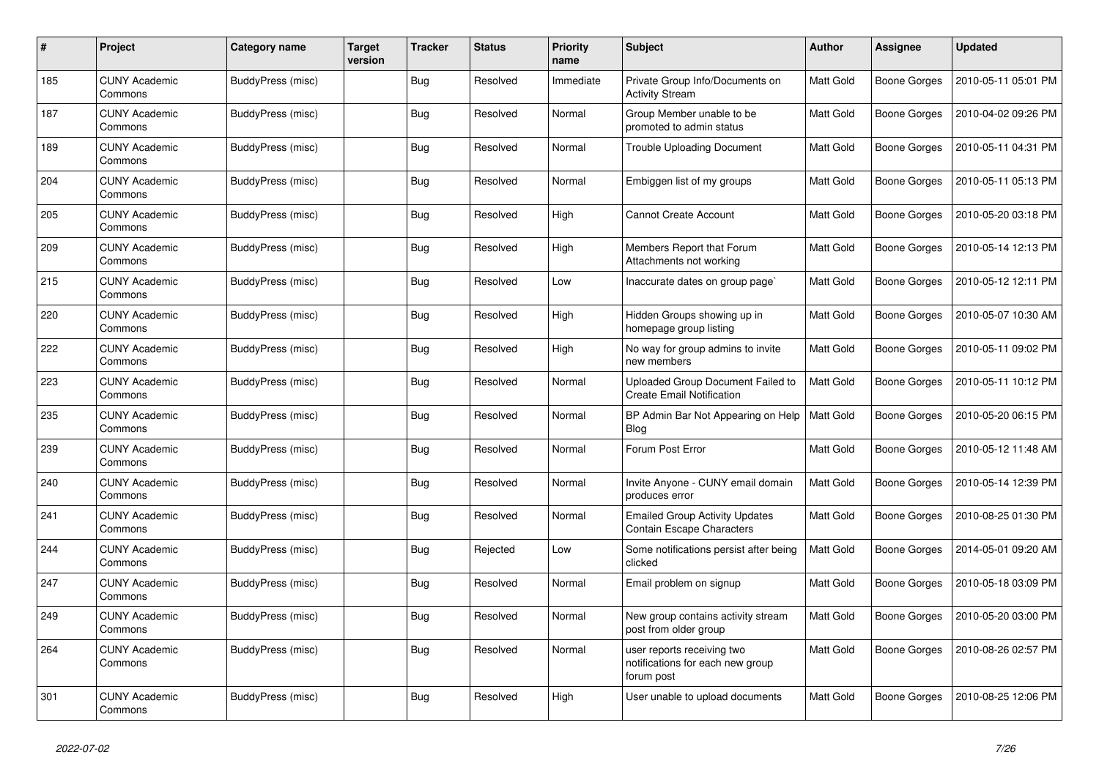| #   | Project                         | Category name     | <b>Target</b><br>version | <b>Tracker</b> | <b>Status</b> | <b>Priority</b><br>name | <b>Subject</b>                                                               | <b>Author</b> | Assignee            | <b>Updated</b>      |
|-----|---------------------------------|-------------------|--------------------------|----------------|---------------|-------------------------|------------------------------------------------------------------------------|---------------|---------------------|---------------------|
| 185 | <b>CUNY Academic</b><br>Commons | BuddyPress (misc) |                          | <b>Bug</b>     | Resolved      | Immediate               | Private Group Info/Documents on<br><b>Activity Stream</b>                    | Matt Gold     | Boone Gorges        | 2010-05-11 05:01 PM |
| 187 | <b>CUNY Academic</b><br>Commons | BuddyPress (misc) |                          | <b>Bug</b>     | Resolved      | Normal                  | Group Member unable to be<br>promoted to admin status                        | Matt Gold     | Boone Gorges        | 2010-04-02 09:26 PM |
| 189 | <b>CUNY Academic</b><br>Commons | BuddyPress (misc) |                          | Bug            | Resolved      | Normal                  | <b>Trouble Uploading Document</b>                                            | Matt Gold     | Boone Gorges        | 2010-05-11 04:31 PM |
| 204 | <b>CUNY Academic</b><br>Commons | BuddyPress (misc) |                          | Bug            | Resolved      | Normal                  | Embiggen list of my groups                                                   | Matt Gold     | Boone Gorges        | 2010-05-11 05:13 PM |
| 205 | <b>CUNY Academic</b><br>Commons | BuddyPress (misc) |                          | <b>Bug</b>     | Resolved      | High                    | <b>Cannot Create Account</b>                                                 | Matt Gold     | <b>Boone Gorges</b> | 2010-05-20 03:18 PM |
| 209 | <b>CUNY Academic</b><br>Commons | BuddyPress (misc) |                          | Bug            | Resolved      | High                    | Members Report that Forum<br>Attachments not working                         | Matt Gold     | Boone Gorges        | 2010-05-14 12:13 PM |
| 215 | <b>CUNY Academic</b><br>Commons | BuddyPress (misc) |                          | <b>Bug</b>     | Resolved      | Low                     | Inaccurate dates on group page`                                              | Matt Gold     | Boone Gorges        | 2010-05-12 12:11 PM |
| 220 | CUNY Academic<br>Commons        | BuddyPress (misc) |                          | <b>Bug</b>     | Resolved      | High                    | Hidden Groups showing up in<br>homepage group listing                        | Matt Gold     | Boone Gorges        | 2010-05-07 10:30 AM |
| 222 | <b>CUNY Academic</b><br>Commons | BuddyPress (misc) |                          | Bug            | Resolved      | High                    | No way for group admins to invite<br>new members                             | Matt Gold     | Boone Gorges        | 2010-05-11 09:02 PM |
| 223 | <b>CUNY Academic</b><br>Commons | BuddyPress (misc) |                          | <b>Bug</b>     | Resolved      | Normal                  | Uploaded Group Document Failed to<br><b>Create Email Notification</b>        | Matt Gold     | Boone Gorges        | 2010-05-11 10:12 PM |
| 235 | <b>CUNY Academic</b><br>Commons | BuddyPress (misc) |                          | <b>Bug</b>     | Resolved      | Normal                  | BP Admin Bar Not Appearing on Help<br><b>Blog</b>                            | Matt Gold     | Boone Gorges        | 2010-05-20 06:15 PM |
| 239 | <b>CUNY Academic</b><br>Commons | BuddyPress (misc) |                          | <b>Bug</b>     | Resolved      | Normal                  | Forum Post Error                                                             | Matt Gold     | Boone Gorges        | 2010-05-12 11:48 AM |
| 240 | <b>CUNY Academic</b><br>Commons | BuddyPress (misc) |                          | <b>Bug</b>     | Resolved      | Normal                  | Invite Anyone - CUNY email domain<br>produces error                          | Matt Gold     | Boone Gorges        | 2010-05-14 12:39 PM |
| 241 | <b>CUNY Academic</b><br>Commons | BuddyPress (misc) |                          | <b>Bug</b>     | Resolved      | Normal                  | <b>Emailed Group Activity Updates</b><br><b>Contain Escape Characters</b>    | Matt Gold     | Boone Gorges        | 2010-08-25 01:30 PM |
| 244 | <b>CUNY Academic</b><br>Commons | BuddyPress (misc) |                          | Bug            | Rejected      | Low                     | Some notifications persist after being<br>clicked                            | Matt Gold     | Boone Gorges        | 2014-05-01 09:20 AM |
| 247 | <b>CUNY Academic</b><br>Commons | BuddyPress (misc) |                          | Bug            | Resolved      | Normal                  | Email problem on signup                                                      | Matt Gold     | Boone Gorges        | 2010-05-18 03:09 PM |
| 249 | <b>CUNY Academic</b><br>Commons | BuddyPress (misc) |                          | <b>Bug</b>     | Resolved      | Normal                  | New group contains activity stream<br>post from older group                  | Matt Gold     | Boone Gorges        | 2010-05-20 03:00 PM |
| 264 | <b>CUNY Academic</b><br>Commons | BuddyPress (misc) |                          | Bug            | Resolved      | Normal                  | user reports receiving two<br>notifications for each new group<br>forum post | Matt Gold     | Boone Gorges        | 2010-08-26 02:57 PM |
| 301 | <b>CUNY Academic</b><br>Commons | BuddyPress (misc) |                          | <b>Bug</b>     | Resolved      | High                    | User unable to upload documents                                              | Matt Gold     | Boone Gorges        | 2010-08-25 12:06 PM |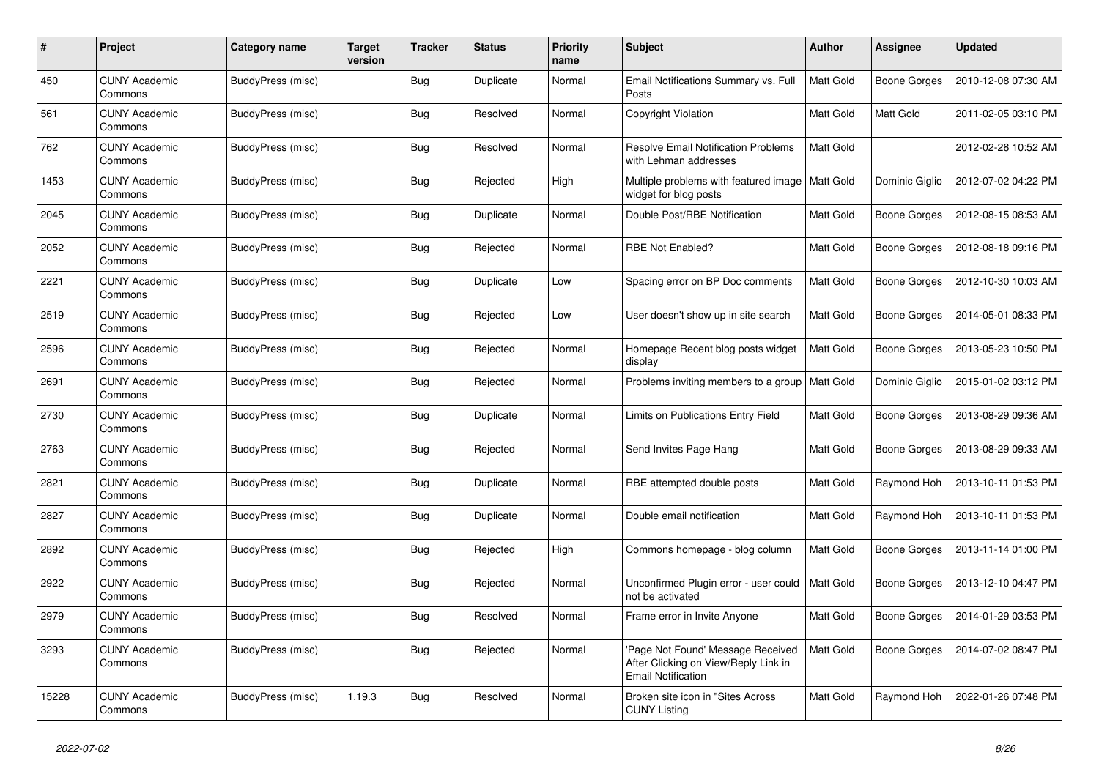| #     | Project                         | Category name     | <b>Target</b><br>version | <b>Tracker</b> | <b>Status</b> | <b>Priority</b><br>name | <b>Subject</b>                                                                                        | <b>Author</b> | Assignee            | <b>Updated</b>      |
|-------|---------------------------------|-------------------|--------------------------|----------------|---------------|-------------------------|-------------------------------------------------------------------------------------------------------|---------------|---------------------|---------------------|
| 450   | <b>CUNY Academic</b><br>Commons | BuddyPress (misc) |                          | <b>Bug</b>     | Duplicate     | Normal                  | Email Notifications Summary vs. Full<br>Posts                                                         | Matt Gold     | Boone Gorges        | 2010-12-08 07:30 AM |
| 561   | <b>CUNY Academic</b><br>Commons | BuddyPress (misc) |                          | <b>Bug</b>     | Resolved      | Normal                  | Copyright Violation                                                                                   | Matt Gold     | Matt Gold           | 2011-02-05 03:10 PM |
| 762   | <b>CUNY Academic</b><br>Commons | BuddyPress (misc) |                          | Bug            | Resolved      | Normal                  | <b>Resolve Email Notification Problems</b><br>with Lehman addresses                                   | Matt Gold     |                     | 2012-02-28 10:52 AM |
| 1453  | <b>CUNY Academic</b><br>Commons | BuddyPress (misc) |                          | <b>Bug</b>     | Rejected      | High                    | Multiple problems with featured image<br>widget for blog posts                                        | Matt Gold     | Dominic Giglio      | 2012-07-02 04:22 PM |
| 2045  | <b>CUNY Academic</b><br>Commons | BuddyPress (misc) |                          | Bug            | Duplicate     | Normal                  | Double Post/RBE Notification                                                                          | Matt Gold     | Boone Gorges        | 2012-08-15 08:53 AM |
| 2052  | <b>CUNY Academic</b><br>Commons | BuddyPress (misc) |                          | Bug            | Rejected      | Normal                  | <b>RBE Not Enabled?</b>                                                                               | Matt Gold     | <b>Boone Gorges</b> | 2012-08-18 09:16 PM |
| 2221  | <b>CUNY Academic</b><br>Commons | BuddyPress (misc) |                          | <b>Bug</b>     | Duplicate     | Low                     | Spacing error on BP Doc comments                                                                      | Matt Gold     | Boone Gorges        | 2012-10-30 10:03 AM |
| 2519  | CUNY Academic<br>Commons        | BuddyPress (misc) |                          | <b>Bug</b>     | Rejected      | Low                     | User doesn't show up in site search                                                                   | Matt Gold     | Boone Gorges        | 2014-05-01 08:33 PM |
| 2596  | <b>CUNY Academic</b><br>Commons | BuddyPress (misc) |                          | Bug            | Rejected      | Normal                  | Homepage Recent blog posts widget<br>display                                                          | Matt Gold     | Boone Gorges        | 2013-05-23 10:50 PM |
| 2691  | <b>CUNY Academic</b><br>Commons | BuddyPress (misc) |                          | <b>Bug</b>     | Rejected      | Normal                  | Problems inviting members to a group                                                                  | Matt Gold     | Dominic Giglio      | 2015-01-02 03:12 PM |
| 2730  | <b>CUNY Academic</b><br>Commons | BuddyPress (misc) |                          | <b>Bug</b>     | Duplicate     | Normal                  | Limits on Publications Entry Field                                                                    | Matt Gold     | Boone Gorges        | 2013-08-29 09:36 AM |
| 2763  | <b>CUNY Academic</b><br>Commons | BuddyPress (misc) |                          | <b>Bug</b>     | Rejected      | Normal                  | Send Invites Page Hang                                                                                | Matt Gold     | <b>Boone Gorges</b> | 2013-08-29 09:33 AM |
| 2821  | <b>CUNY Academic</b><br>Commons | BuddyPress (misc) |                          | <b>Bug</b>     | Duplicate     | Normal                  | RBE attempted double posts                                                                            | Matt Gold     | Raymond Hoh         | 2013-10-11 01:53 PM |
| 2827  | <b>CUNY Academic</b><br>Commons | BuddyPress (misc) |                          | <b>Bug</b>     | Duplicate     | Normal                  | Double email notification                                                                             | Matt Gold     | Raymond Hoh         | 2013-10-11 01:53 PM |
| 2892  | <b>CUNY Academic</b><br>Commons | BuddyPress (misc) |                          | <b>Bug</b>     | Rejected      | High                    | Commons homepage - blog column                                                                        | Matt Gold     | Boone Gorges        | 2013-11-14 01:00 PM |
| 2922  | <b>CUNY Academic</b><br>Commons | BuddyPress (misc) |                          | <b>Bug</b>     | Rejected      | Normal                  | Unconfirmed Plugin error - user could<br>not be activated                                             | Matt Gold     | <b>Boone Gorges</b> | 2013-12-10 04:47 PM |
| 2979  | <b>CUNY Academic</b><br>Commons | BuddyPress (misc) |                          | <b>Bug</b>     | Resolved      | Normal                  | Frame error in Invite Anyone                                                                          | Matt Gold     | Boone Gorges        | 2014-01-29 03:53 PM |
| 3293  | <b>CUNY Academic</b><br>Commons | BuddyPress (misc) |                          | Bug            | Rejected      | Normal                  | Page Not Found' Message Received<br>After Clicking on View/Reply Link in<br><b>Email Notification</b> | Matt Gold     | Boone Gorges        | 2014-07-02 08:47 PM |
| 15228 | <b>CUNY Academic</b><br>Commons | BuddyPress (misc) | 1.19.3                   | <b>Bug</b>     | Resolved      | Normal                  | Broken site icon in "Sites Across<br><b>CUNY Listing</b>                                              | Matt Gold     | Raymond Hoh         | 2022-01-26 07:48 PM |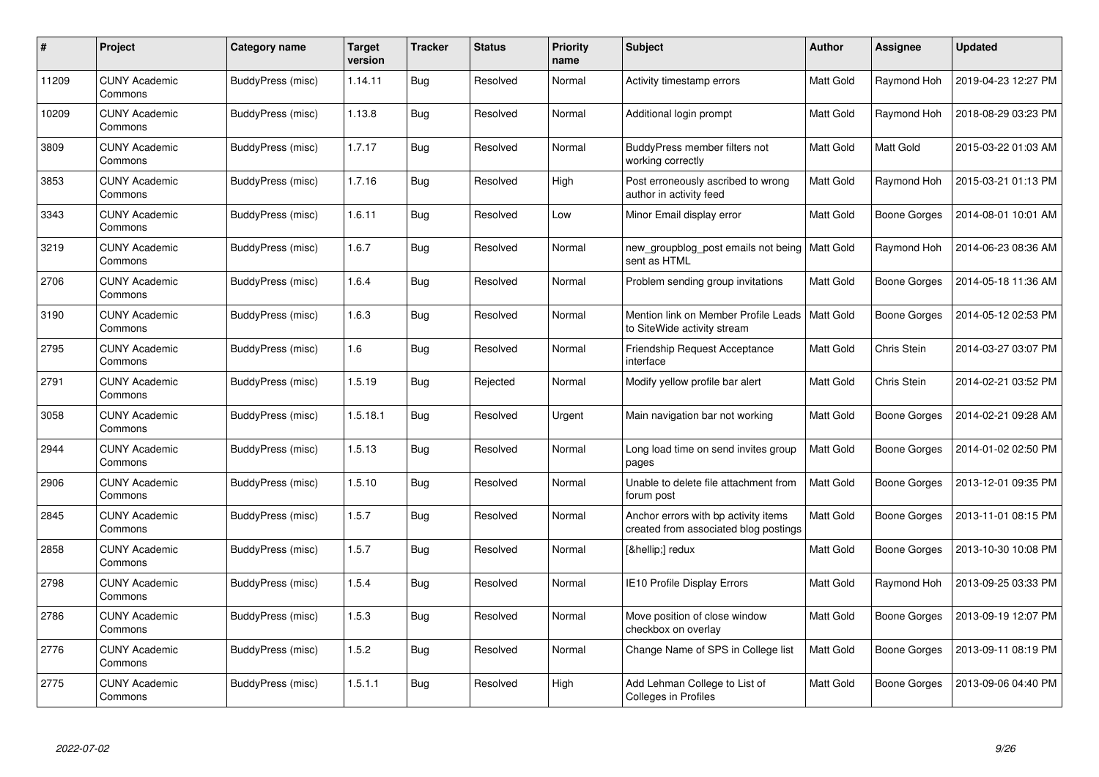| #     | Project                         | Category name     | <b>Target</b><br>version | <b>Tracker</b> | <b>Status</b> | <b>Priority</b><br>name | <b>Subject</b>                                                                | Author           | Assignee            | <b>Updated</b>      |
|-------|---------------------------------|-------------------|--------------------------|----------------|---------------|-------------------------|-------------------------------------------------------------------------------|------------------|---------------------|---------------------|
| 11209 | <b>CUNY Academic</b><br>Commons | BuddyPress (misc) | 1.14.11                  | <b>Bug</b>     | Resolved      | Normal                  | Activity timestamp errors                                                     | Matt Gold        | Raymond Hoh         | 2019-04-23 12:27 PM |
| 10209 | <b>CUNY Academic</b><br>Commons | BuddyPress (misc) | 1.13.8                   | Bug            | Resolved      | Normal                  | Additional login prompt                                                       | <b>Matt Gold</b> | Raymond Hoh         | 2018-08-29 03:23 PM |
| 3809  | <b>CUNY Academic</b><br>Commons | BuddyPress (misc) | 1.7.17                   | <b>Bug</b>     | Resolved      | Normal                  | BuddyPress member filters not<br>working correctly                            | Matt Gold        | Matt Gold           | 2015-03-22 01:03 AM |
| 3853  | <b>CUNY Academic</b><br>Commons | BuddyPress (misc) | 1.7.16                   | <b>Bug</b>     | Resolved      | High                    | Post erroneously ascribed to wrong<br>author in activity feed                 | Matt Gold        | Raymond Hoh         | 2015-03-21 01:13 PM |
| 3343  | <b>CUNY Academic</b><br>Commons | BuddyPress (misc) | 1.6.11                   | Bug            | Resolved      | Low                     | Minor Email display error                                                     | Matt Gold        | <b>Boone Gorges</b> | 2014-08-01 10:01 AM |
| 3219  | <b>CUNY Academic</b><br>Commons | BuddyPress (misc) | 1.6.7                    | Bug            | Resolved      | Normal                  | new_groupblog_post emails not being   Matt Gold<br>sent as HTML               |                  | Raymond Hoh         | 2014-06-23 08:36 AM |
| 2706  | <b>CUNY Academic</b><br>Commons | BuddyPress (misc) | 1.6.4                    | <b>Bug</b>     | Resolved      | Normal                  | Problem sending group invitations                                             | Matt Gold        | <b>Boone Gorges</b> | 2014-05-18 11:36 AM |
| 3190  | <b>CUNY Academic</b><br>Commons | BuddyPress (misc) | 1.6.3                    | <b>Bug</b>     | Resolved      | Normal                  | Mention link on Member Profile Leads<br>to SiteWide activity stream           | <b>Matt Gold</b> | Boone Gorges        | 2014-05-12 02:53 PM |
| 2795  | <b>CUNY Academic</b><br>Commons | BuddyPress (misc) | 1.6                      | Bug            | Resolved      | Normal                  | <b>Friendship Request Acceptance</b><br>interface                             | Matt Gold        | Chris Stein         | 2014-03-27 03:07 PM |
| 2791  | <b>CUNY Academic</b><br>Commons | BuddyPress (misc) | 1.5.19                   | <b>Bug</b>     | Rejected      | Normal                  | Modify yellow profile bar alert                                               | <b>Matt Gold</b> | Chris Stein         | 2014-02-21 03:52 PM |
| 3058  | <b>CUNY Academic</b><br>Commons | BuddyPress (misc) | 1.5.18.1                 | Bug            | Resolved      | Urgent                  | Main navigation bar not working                                               | Matt Gold        | <b>Boone Gorges</b> | 2014-02-21 09:28 AM |
| 2944  | <b>CUNY Academic</b><br>Commons | BuddyPress (misc) | 1.5.13                   | <b>Bug</b>     | Resolved      | Normal                  | Long load time on send invites group<br>pages                                 | Matt Gold        | Boone Gorges        | 2014-01-02 02:50 PM |
| 2906  | <b>CUNY Academic</b><br>Commons | BuddyPress (misc) | 1.5.10                   | Bug            | Resolved      | Normal                  | Unable to delete file attachment from<br>forum post                           | Matt Gold        | <b>Boone Gorges</b> | 2013-12-01 09:35 PM |
| 2845  | <b>CUNY Academic</b><br>Commons | BuddyPress (misc) | 1.5.7                    | <b>Bug</b>     | Resolved      | Normal                  | Anchor errors with bp activity items<br>created from associated blog postings | Matt Gold        | Boone Gorges        | 2013-11-01 08:15 PM |
| 2858  | <b>CUNY Academic</b><br>Commons | BuddyPress (misc) | 1.5.7                    | <b>Bug</b>     | Resolved      | Normal                  | […] redux                                                                     | Matt Gold        | Boone Gorges        | 2013-10-30 10:08 PM |
| 2798  | <b>CUNY Academic</b><br>Commons | BuddyPress (misc) | 1.5.4                    | <b>Bug</b>     | Resolved      | Normal                  | IE10 Profile Display Errors                                                   | Matt Gold        | Raymond Hoh         | 2013-09-25 03:33 PM |
| 2786  | <b>CUNY Academic</b><br>Commons | BuddyPress (misc) | 1.5.3                    | Bug            | Resolved      | Normal                  | Move position of close window<br>checkbox on overlay                          | Matt Gold        | Boone Gorges        | 2013-09-19 12:07 PM |
| 2776  | <b>CUNY Academic</b><br>Commons | BuddyPress (misc) | 1.5.2                    | Bug            | Resolved      | Normal                  | Change Name of SPS in College list                                            | Matt Gold        | Boone Gorges        | 2013-09-11 08:19 PM |
| 2775  | CUNY Academic<br>Commons        | BuddyPress (misc) | 1.5.1.1                  | Bug            | Resolved      | High                    | Add Lehman College to List of<br>Colleges in Profiles                         | Matt Gold        | Boone Gorges        | 2013-09-06 04:40 PM |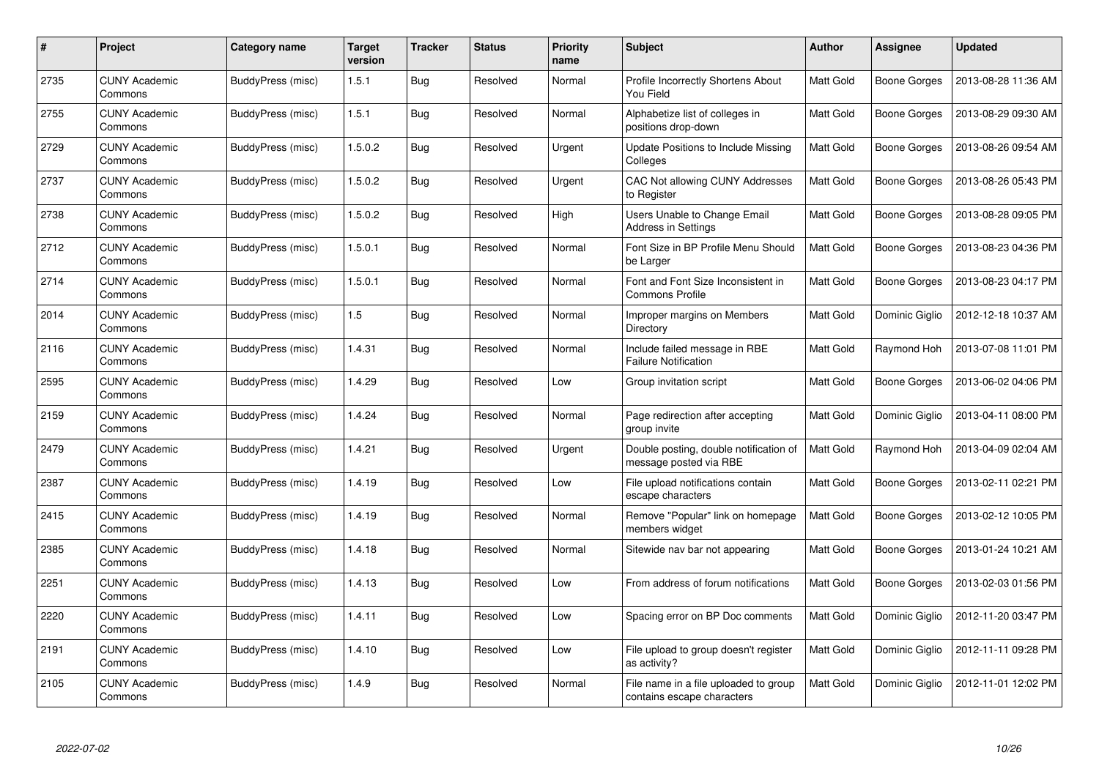| #    | Project                         | Category name     | <b>Target</b><br>version | <b>Tracker</b> | <b>Status</b> | <b>Priority</b><br>name | <b>Subject</b>                                                      | Author    | Assignee            | <b>Updated</b>      |
|------|---------------------------------|-------------------|--------------------------|----------------|---------------|-------------------------|---------------------------------------------------------------------|-----------|---------------------|---------------------|
| 2735 | <b>CUNY Academic</b><br>Commons | BuddyPress (misc) | 1.5.1                    | <b>Bug</b>     | Resolved      | Normal                  | Profile Incorrectly Shortens About<br>You Field                     | Matt Gold | Boone Gorges        | 2013-08-28 11:36 AM |
| 2755 | <b>CUNY Academic</b><br>Commons | BuddyPress (misc) | 1.5.1                    | <b>Bug</b>     | Resolved      | Normal                  | Alphabetize list of colleges in<br>positions drop-down              | Matt Gold | Boone Gorges        | 2013-08-29 09:30 AM |
| 2729 | <b>CUNY Academic</b><br>Commons | BuddyPress (misc) | 1.5.0.2                  | <b>Bug</b>     | Resolved      | Urgent                  | Update Positions to Include Missing<br>Colleges                     | Matt Gold | Boone Gorges        | 2013-08-26 09:54 AM |
| 2737 | <b>CUNY Academic</b><br>Commons | BuddyPress (misc) | 1.5.0.2                  | <b>Bug</b>     | Resolved      | Urgent                  | CAC Not allowing CUNY Addresses<br>to Register                      | Matt Gold | Boone Gorges        | 2013-08-26 05:43 PM |
| 2738 | <b>CUNY Academic</b><br>Commons | BuddyPress (misc) | 1.5.0.2                  | <b>Bug</b>     | Resolved      | High                    | Users Unable to Change Email<br><b>Address in Settings</b>          | Matt Gold | <b>Boone Gorges</b> | 2013-08-28 09:05 PM |
| 2712 | <b>CUNY Academic</b><br>Commons | BuddyPress (misc) | 1.5.0.1                  | <b>Bug</b>     | Resolved      | Normal                  | Font Size in BP Profile Menu Should<br>be Larger                    | Matt Gold | Boone Gorges        | 2013-08-23 04:36 PM |
| 2714 | <b>CUNY Academic</b><br>Commons | BuddyPress (misc) | 1.5.0.1                  | Bug            | Resolved      | Normal                  | Font and Font Size Inconsistent in<br><b>Commons Profile</b>        | Matt Gold | Boone Gorges        | 2013-08-23 04:17 PM |
| 2014 | <b>CUNY Academic</b><br>Commons | BuddyPress (misc) | 1.5                      | <b>Bug</b>     | Resolved      | Normal                  | Improper margins on Members<br>Directory                            | Matt Gold | Dominic Giglio      | 2012-12-18 10:37 AM |
| 2116 | <b>CUNY Academic</b><br>Commons | BuddyPress (misc) | 1.4.31                   | <b>Bug</b>     | Resolved      | Normal                  | Include failed message in RBE<br><b>Failure Notification</b>        | Matt Gold | Raymond Hoh         | 2013-07-08 11:01 PM |
| 2595 | <b>CUNY Academic</b><br>Commons | BuddyPress (misc) | 1.4.29                   | Bug            | Resolved      | Low                     | Group invitation script                                             | Matt Gold | Boone Gorges        | 2013-06-02 04:06 PM |
| 2159 | <b>CUNY Academic</b><br>Commons | BuddyPress (misc) | 1.4.24                   | Bug            | Resolved      | Normal                  | Page redirection after accepting<br>group invite                    | Matt Gold | Dominic Giglio      | 2013-04-11 08:00 PM |
| 2479 | <b>CUNY Academic</b><br>Commons | BuddyPress (misc) | 1.4.21                   | <b>Bug</b>     | Resolved      | Urgent                  | Double posting, double notification of<br>message posted via RBE    | Matt Gold | Raymond Hoh         | 2013-04-09 02:04 AM |
| 2387 | <b>CUNY Academic</b><br>Commons | BuddyPress (misc) | 1.4.19                   | <b>Bug</b>     | Resolved      | Low                     | File upload notifications contain<br>escape characters              | Matt Gold | Boone Gorges        | 2013-02-11 02:21 PM |
| 2415 | <b>CUNY Academic</b><br>Commons | BuddyPress (misc) | 1.4.19                   | <b>Bug</b>     | Resolved      | Normal                  | Remove "Popular" link on homepage<br>members widget                 | Matt Gold | Boone Gorges        | 2013-02-12 10:05 PM |
| 2385 | <b>CUNY Academic</b><br>Commons | BuddyPress (misc) | 1.4.18                   | Bug            | Resolved      | Normal                  | Sitewide nav bar not appearing                                      | Matt Gold | Boone Gorges        | 2013-01-24 10:21 AM |
| 2251 | <b>CUNY Academic</b><br>Commons | BuddyPress (misc) | 1.4.13                   | <b>Bug</b>     | Resolved      | Low                     | From address of forum notifications                                 | Matt Gold | Boone Gorges        | 2013-02-03 01:56 PM |
| 2220 | <b>CUNY Academic</b><br>Commons | BuddyPress (misc) | 1.4.11                   | <b>Bug</b>     | Resolved      | Low                     | Spacing error on BP Doc comments                                    | Matt Gold | Dominic Giglio      | 2012-11-20 03:47 PM |
| 2191 | <b>CUNY Academic</b><br>Commons | BuddyPress (misc) | 1.4.10                   | <b>Bug</b>     | Resolved      | Low                     | File upload to group doesn't register<br>as activity?               | Matt Gold | Dominic Giglio      | 2012-11-11 09:28 PM |
| 2105 | <b>CUNY Academic</b><br>Commons | BuddyPress (misc) | 1.4.9                    | Bug            | Resolved      | Normal                  | File name in a file uploaded to group<br>contains escape characters | Matt Gold | Dominic Giglio      | 2012-11-01 12:02 PM |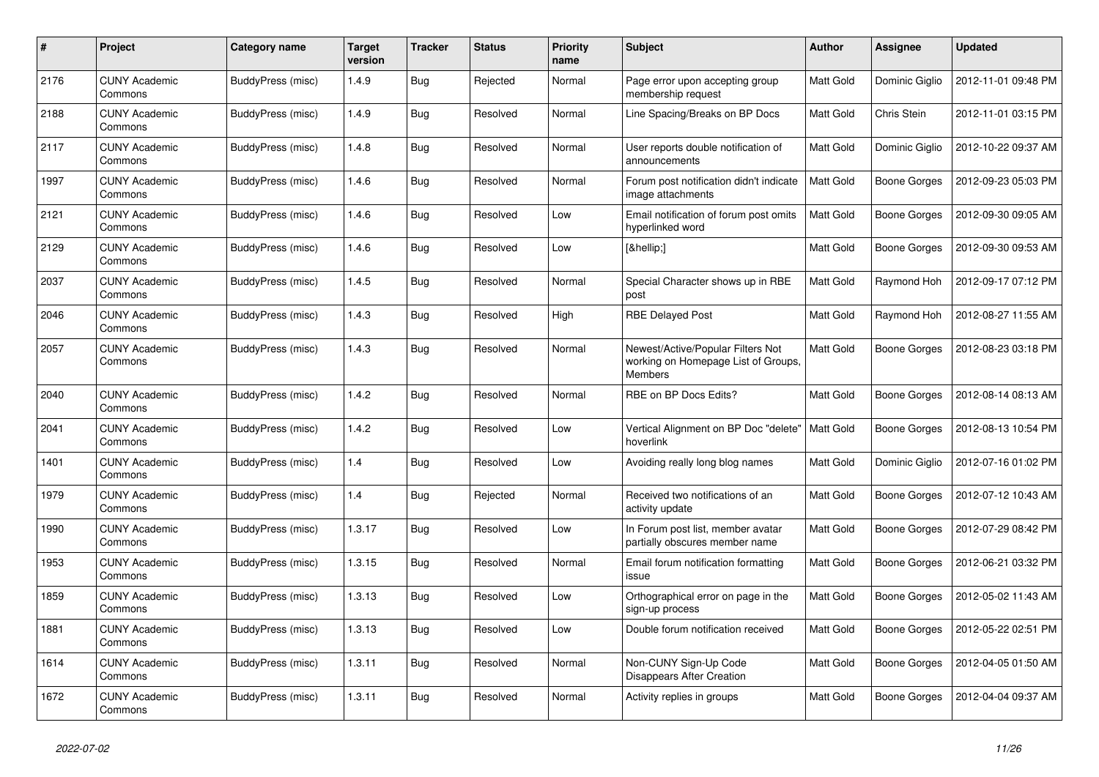| #    | Project                         | Category name     | <b>Target</b><br>version | <b>Tracker</b> | <b>Status</b> | <b>Priority</b><br>name | <b>Subject</b>                                                                             | <b>Author</b> | Assignee            | <b>Updated</b>      |
|------|---------------------------------|-------------------|--------------------------|----------------|---------------|-------------------------|--------------------------------------------------------------------------------------------|---------------|---------------------|---------------------|
| 2176 | <b>CUNY Academic</b><br>Commons | BuddyPress (misc) | 1.4.9                    | <b>Bug</b>     | Rejected      | Normal                  | Page error upon accepting group<br>membership request                                      | Matt Gold     | Dominic Giglio      | 2012-11-01 09:48 PM |
| 2188 | <b>CUNY Academic</b><br>Commons | BuddyPress (misc) | 1.4.9                    | <b>Bug</b>     | Resolved      | Normal                  | Line Spacing/Breaks on BP Docs                                                             | Matt Gold     | Chris Stein         | 2012-11-01 03:15 PM |
| 2117 | <b>CUNY Academic</b><br>Commons | BuddyPress (misc) | 1.4.8                    | <b>Bug</b>     | Resolved      | Normal                  | User reports double notification of<br>announcements                                       | Matt Gold     | Dominic Giglio      | 2012-10-22 09:37 AM |
| 1997 | <b>CUNY Academic</b><br>Commons | BuddyPress (misc) | 1.4.6                    | <b>Bug</b>     | Resolved      | Normal                  | Forum post notification didn't indicate<br>image attachments                               | Matt Gold     | Boone Gorges        | 2012-09-23 05:03 PM |
| 2121 | <b>CUNY Academic</b><br>Commons | BuddyPress (misc) | 1.4.6                    | <b>Bug</b>     | Resolved      | Low                     | Email notification of forum post omits<br>hyperlinked word                                 | Matt Gold     | Boone Gorges        | 2012-09-30 09:05 AM |
| 2129 | <b>CUNY Academic</b><br>Commons | BuddyPress (misc) | 1.4.6                    | <b>Bug</b>     | Resolved      | Low                     | […]                                                                                        | Matt Gold     | Boone Gorges        | 2012-09-30 09:53 AM |
| 2037 | <b>CUNY Academic</b><br>Commons | BuddyPress (misc) | 1.4.5                    | Bug            | Resolved      | Normal                  | Special Character shows up in RBE<br>post                                                  | Matt Gold     | Raymond Hoh         | 2012-09-17 07:12 PM |
| 2046 | <b>CUNY Academic</b><br>Commons | BuddyPress (misc) | 1.4.3                    | <b>Bug</b>     | Resolved      | High                    | <b>RBE Delayed Post</b>                                                                    | Matt Gold     | Raymond Hoh         | 2012-08-27 11:55 AM |
| 2057 | CUNY Academic<br>Commons        | BuddyPress (misc) | 1.4.3                    | <b>Bug</b>     | Resolved      | Normal                  | Newest/Active/Popular Filters Not<br>working on Homepage List of Groups,<br><b>Members</b> | Matt Gold     | <b>Boone Gorges</b> | 2012-08-23 03:18 PM |
| 2040 | <b>CUNY Academic</b><br>Commons | BuddyPress (misc) | 1.4.2                    | <b>Bug</b>     | Resolved      | Normal                  | RBE on BP Docs Edits?                                                                      | Matt Gold     | Boone Gorges        | 2012-08-14 08:13 AM |
| 2041 | <b>CUNY Academic</b><br>Commons | BuddyPress (misc) | 1.4.2                    | Bug            | Resolved      | Low                     | Vertical Alignment on BP Doc "delete"<br>hoverlink                                         | Matt Gold     | Boone Gorges        | 2012-08-13 10:54 PM |
| 1401 | <b>CUNY Academic</b><br>Commons | BuddyPress (misc) | 1.4                      | <b>Bug</b>     | Resolved      | Low                     | Avoiding really long blog names                                                            | Matt Gold     | Dominic Giglio      | 2012-07-16 01:02 PM |
| 1979 | <b>CUNY Academic</b><br>Commons | BuddyPress (misc) | 1.4                      | <b>Bug</b>     | Rejected      | Normal                  | Received two notifications of an<br>activity update                                        | Matt Gold     | Boone Gorges        | 2012-07-12 10:43 AM |
| 1990 | <b>CUNY Academic</b><br>Commons | BuddyPress (misc) | 1.3.17                   | <b>Bug</b>     | Resolved      | Low                     | In Forum post list, member avatar<br>partially obscures member name                        | Matt Gold     | Boone Gorges        | 2012-07-29 08:42 PM |
| 1953 | <b>CUNY Academic</b><br>Commons | BuddyPress (misc) | 1.3.15                   | <b>Bug</b>     | Resolved      | Normal                  | Email forum notification formatting<br>issue                                               | Matt Gold     | <b>Boone Gorges</b> | 2012-06-21 03:32 PM |
| 1859 | <b>CUNY Academic</b><br>Commons | BuddyPress (misc) | 1.3.13                   | <b>Bug</b>     | Resolved      | Low                     | Orthographical error on page in the<br>sign-up process                                     | Matt Gold     | Boone Gorges        | 2012-05-02 11:43 AM |
| 1881 | <b>CUNY Academic</b><br>Commons | BuddyPress (misc) | 1.3.13                   | <b>Bug</b>     | Resolved      | Low                     | Double forum notification received                                                         | Matt Gold     | Boone Gorges        | 2012-05-22 02:51 PM |
| 1614 | <b>CUNY Academic</b><br>Commons | BuddyPress (misc) | 1.3.11                   | Bug            | Resolved      | Normal                  | Non-CUNY Sign-Up Code<br><b>Disappears After Creation</b>                                  | Matt Gold     | Boone Gorges        | 2012-04-05 01:50 AM |
| 1672 | <b>CUNY Academic</b><br>Commons | BuddyPress (misc) | 1.3.11                   | Bug            | Resolved      | Normal                  | Activity replies in groups                                                                 | Matt Gold     | Boone Gorges        | 2012-04-04 09:37 AM |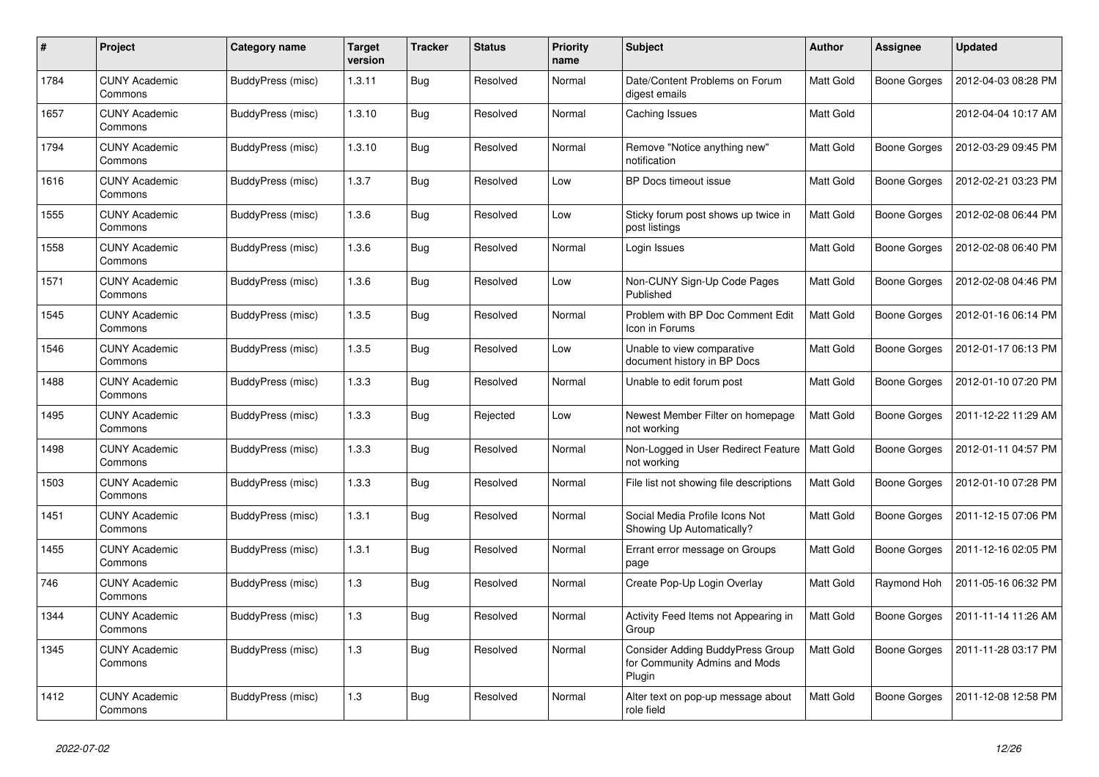| #    | Project                         | Category name     | <b>Target</b><br>version | <b>Tracker</b> | <b>Status</b> | <b>Priority</b><br>name | <b>Subject</b>                                                              | Author           | Assignee            | <b>Updated</b>      |
|------|---------------------------------|-------------------|--------------------------|----------------|---------------|-------------------------|-----------------------------------------------------------------------------|------------------|---------------------|---------------------|
| 1784 | <b>CUNY Academic</b><br>Commons | BuddyPress (misc) | 1.3.11                   | Bug            | Resolved      | Normal                  | Date/Content Problems on Forum<br>digest emails                             | Matt Gold        | <b>Boone Gorges</b> | 2012-04-03 08:28 PM |
| 1657 | <b>CUNY Academic</b><br>Commons | BuddyPress (misc) | 1.3.10                   | Bug            | Resolved      | Normal                  | Caching Issues                                                              | <b>Matt Gold</b> |                     | 2012-04-04 10:17 AM |
| 1794 | <b>CUNY Academic</b><br>Commons | BuddyPress (misc) | 1.3.10                   | Bug            | Resolved      | Normal                  | Remove "Notice anything new"<br>notification                                | Matt Gold        | <b>Boone Gorges</b> | 2012-03-29 09:45 PM |
| 1616 | <b>CUNY Academic</b><br>Commons | BuddyPress (misc) | 1.3.7                    | <b>Bug</b>     | Resolved      | Low                     | BP Docs timeout issue                                                       | Matt Gold        | <b>Boone Gorges</b> | 2012-02-21 03:23 PM |
| 1555 | <b>CUNY Academic</b><br>Commons | BuddyPress (misc) | 1.3.6                    | Bug            | Resolved      | Low                     | Sticky forum post shows up twice in<br>post listings                        | Matt Gold        | Boone Gorges        | 2012-02-08 06:44 PM |
| 1558 | <b>CUNY Academic</b><br>Commons | BuddyPress (misc) | 1.3.6                    | <b>Bug</b>     | Resolved      | Normal                  | Login Issues                                                                | Matt Gold        | <b>Boone Gorges</b> | 2012-02-08 06:40 PM |
| 1571 | <b>CUNY Academic</b><br>Commons | BuddyPress (misc) | 1.3.6                    | <b>Bug</b>     | Resolved      | Low                     | Non-CUNY Sign-Up Code Pages<br>Published                                    | Matt Gold        | <b>Boone Gorges</b> | 2012-02-08 04:46 PM |
| 1545 | <b>CUNY Academic</b><br>Commons | BuddyPress (misc) | 1.3.5                    | <b>Bug</b>     | Resolved      | Normal                  | Problem with BP Doc Comment Edit<br>Icon in Forums                          | Matt Gold        | <b>Boone Gorges</b> | 2012-01-16 06:14 PM |
| 1546 | <b>CUNY Academic</b><br>Commons | BuddyPress (misc) | 1.3.5                    | Bug            | Resolved      | Low                     | Unable to view comparative<br>document history in BP Docs                   | Matt Gold        | <b>Boone Gorges</b> | 2012-01-17 06:13 PM |
| 1488 | <b>CUNY Academic</b><br>Commons | BuddyPress (misc) | 1.3.3                    | <b>Bug</b>     | Resolved      | Normal                  | Unable to edit forum post                                                   | Matt Gold        | <b>Boone Gorges</b> | 2012-01-10 07:20 PM |
| 1495 | <b>CUNY Academic</b><br>Commons | BuddyPress (misc) | 1.3.3                    | <b>Bug</b>     | Rejected      | Low                     | Newest Member Filter on homepage<br>not working                             | Matt Gold        | <b>Boone Gorges</b> | 2011-12-22 11:29 AM |
| 1498 | <b>CUNY Academic</b><br>Commons | BuddyPress (misc) | 1.3.3                    | Bug            | Resolved      | Normal                  | Non-Logged in User Redirect Feature<br>not working                          | Matt Gold        | Boone Gorges        | 2012-01-11 04:57 PM |
| 1503 | <b>CUNY Academic</b><br>Commons | BuddyPress (misc) | 1.3.3                    | <b>Bug</b>     | Resolved      | Normal                  | File list not showing file descriptions                                     | Matt Gold        | <b>Boone Gorges</b> | 2012-01-10 07:28 PM |
| 1451 | <b>CUNY Academic</b><br>Commons | BuddyPress (misc) | 1.3.1                    | <b>Bug</b>     | Resolved      | Normal                  | Social Media Profile Icons Not<br>Showing Up Automatically?                 | Matt Gold        | <b>Boone Gorges</b> | 2011-12-15 07:06 PM |
| 1455 | <b>CUNY Academic</b><br>Commons | BuddyPress (misc) | 1.3.1                    | Bug            | Resolved      | Normal                  | Errant error message on Groups<br>page                                      | Matt Gold        | <b>Boone Gorges</b> | 2011-12-16 02:05 PM |
| 746  | <b>CUNY Academic</b><br>Commons | BuddyPress (misc) | 1.3                      | <b>Bug</b>     | Resolved      | Normal                  | Create Pop-Up Login Overlay                                                 | Matt Gold        | Raymond Hoh         | 2011-05-16 06:32 PM |
| 1344 | <b>CUNY Academic</b><br>Commons | BuddyPress (misc) | 1.3                      | <b>Bug</b>     | Resolved      | Normal                  | Activity Feed Items not Appearing in<br>Group                               | Matt Gold        | <b>Boone Gorges</b> | 2011-11-14 11:26 AM |
| 1345 | <b>CUNY Academic</b><br>Commons | BuddyPress (misc) | 1.3                      | Bug            | Resolved      | Normal                  | Consider Adding BuddyPress Group<br>for Community Admins and Mods<br>Plugin | Matt Gold        | <b>Boone Gorges</b> | 2011-11-28 03:17 PM |
| 1412 | <b>CUNY Academic</b><br>Commons | BuddyPress (misc) | 1.3                      | <b>Bug</b>     | Resolved      | Normal                  | Alter text on pop-up message about<br>role field                            | Matt Gold        | <b>Boone Gorges</b> | 2011-12-08 12:58 PM |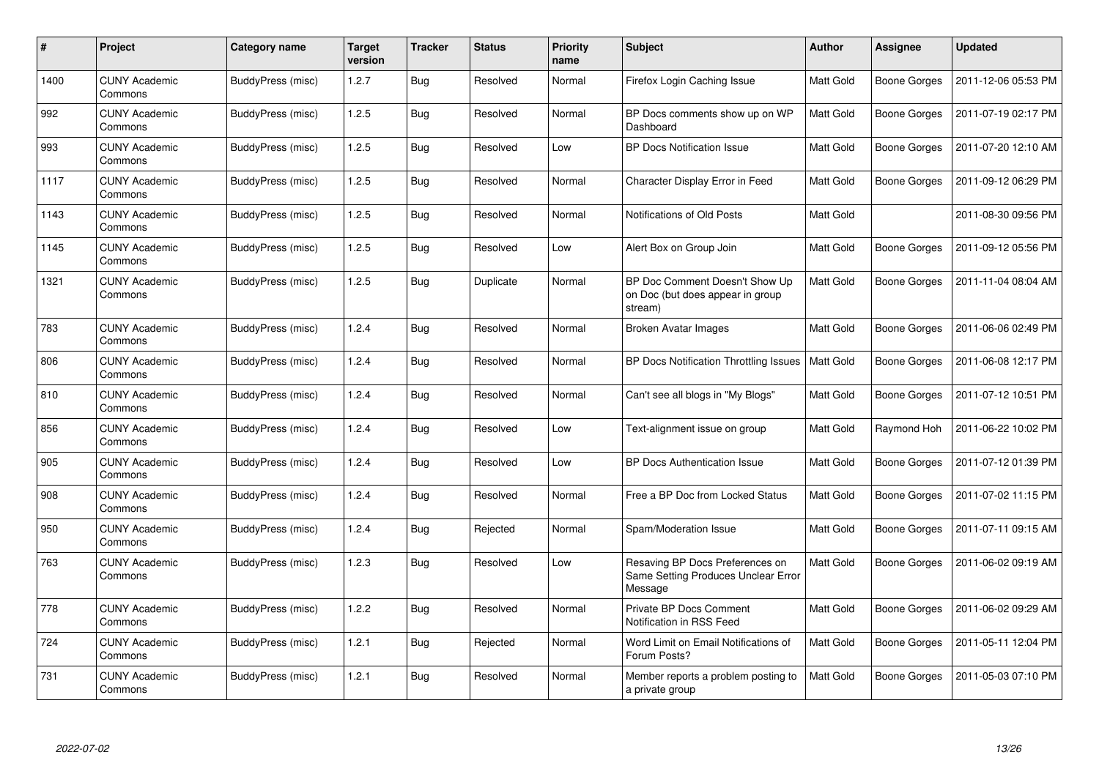| $\#$ | Project                         | Category name     | <b>Target</b><br>version | <b>Tracker</b> | <b>Status</b> | <b>Priority</b><br>name | <b>Subject</b>                                                                    | <b>Author</b> | <b>Assignee</b>     | <b>Updated</b>      |
|------|---------------------------------|-------------------|--------------------------|----------------|---------------|-------------------------|-----------------------------------------------------------------------------------|---------------|---------------------|---------------------|
| 1400 | <b>CUNY Academic</b><br>Commons | BuddyPress (misc) | 1.2.7                    | <b>Bug</b>     | Resolved      | Normal                  | Firefox Login Caching Issue                                                       | Matt Gold     | Boone Gorges        | 2011-12-06 05:53 PM |
| 992  | <b>CUNY Academic</b><br>Commons | BuddyPress (misc) | 1.2.5                    | <b>Bug</b>     | Resolved      | Normal                  | BP Docs comments show up on WP<br>Dashboard                                       | Matt Gold     | <b>Boone Gorges</b> | 2011-07-19 02:17 PM |
| 993  | <b>CUNY Academic</b><br>Commons | BuddyPress (misc) | 1.2.5                    | <b>Bug</b>     | Resolved      | Low                     | <b>BP Docs Notification Issue</b>                                                 | Matt Gold     | <b>Boone Gorges</b> | 2011-07-20 12:10 AM |
| 1117 | <b>CUNY Academic</b><br>Commons | BuddyPress (misc) | 1.2.5                    | Bug            | Resolved      | Normal                  | Character Display Error in Feed                                                   | Matt Gold     | <b>Boone Gorges</b> | 2011-09-12 06:29 PM |
| 1143 | <b>CUNY Academic</b><br>Commons | BuddyPress (misc) | 1.2.5                    | <b>Bug</b>     | Resolved      | Normal                  | Notifications of Old Posts                                                        | Matt Gold     |                     | 2011-08-30 09:56 PM |
| 1145 | <b>CUNY Academic</b><br>Commons | BuddyPress (misc) | 1.2.5                    | Bug            | Resolved      | Low                     | Alert Box on Group Join                                                           | Matt Gold     | <b>Boone Gorges</b> | 2011-09-12 05:56 PM |
| 1321 | <b>CUNY Academic</b><br>Commons | BuddyPress (misc) | 1.2.5                    | Bug            | Duplicate     | Normal                  | BP Doc Comment Doesn't Show Up<br>on Doc (but does appear in group<br>stream)     | Matt Gold     | Boone Gorges        | 2011-11-04 08:04 AM |
| 783  | <b>CUNY Academic</b><br>Commons | BuddyPress (misc) | 1.2.4                    | <b>Bug</b>     | Resolved      | Normal                  | <b>Broken Avatar Images</b>                                                       | Matt Gold     | <b>Boone Gorges</b> | 2011-06-06 02:49 PM |
| 806  | <b>CUNY Academic</b><br>Commons | BuddyPress (misc) | 1.2.4                    | Bug            | Resolved      | Normal                  | BP Docs Notification Throttling Issues                                            | Matt Gold     | <b>Boone Gorges</b> | 2011-06-08 12:17 PM |
| 810  | <b>CUNY Academic</b><br>Commons | BuddyPress (misc) | 1.2.4                    | Bug            | Resolved      | Normal                  | Can't see all blogs in "My Blogs"                                                 | Matt Gold     | <b>Boone Gorges</b> | 2011-07-12 10:51 PM |
| 856  | <b>CUNY Academic</b><br>Commons | BuddyPress (misc) | 1.2.4                    | Bug            | Resolved      | Low                     | Text-alignment issue on group                                                     | Matt Gold     | Raymond Hoh         | 2011-06-22 10:02 PM |
| 905  | <b>CUNY Academic</b><br>Commons | BuddyPress (misc) | 1.2.4                    | <b>Bug</b>     | Resolved      | Low                     | <b>BP Docs Authentication Issue</b>                                               | Matt Gold     | <b>Boone Gorges</b> | 2011-07-12 01:39 PM |
| 908  | <b>CUNY Academic</b><br>Commons | BuddyPress (misc) | 1.2.4                    | Bug            | Resolved      | Normal                  | Free a BP Doc from Locked Status                                                  | Matt Gold     | <b>Boone Gorges</b> | 2011-07-02 11:15 PM |
| 950  | <b>CUNY Academic</b><br>Commons | BuddyPress (misc) | 1.2.4                    | Bug            | Rejected      | Normal                  | Spam/Moderation Issue                                                             | Matt Gold     | Boone Gorges        | 2011-07-11 09:15 AM |
| 763  | <b>CUNY Academic</b><br>Commons | BuddyPress (misc) | 1.2.3                    | <b>Bug</b>     | Resolved      | Low                     | Resaving BP Docs Preferences on<br>Same Setting Produces Unclear Error<br>Message | Matt Gold     | <b>Boone Gorges</b> | 2011-06-02 09:19 AM |
| 778  | <b>CUNY Academic</b><br>Commons | BuddyPress (misc) | 1.2.2                    | <b>Bug</b>     | Resolved      | Normal                  | Private BP Docs Comment<br>Notification in RSS Feed                               | Matt Gold     | <b>Boone Gorges</b> | 2011-06-02 09:29 AM |
| 724  | <b>CUNY Academic</b><br>Commons | BuddyPress (misc) | 1.2.1                    | <b>Bug</b>     | Rejected      | Normal                  | Word Limit on Email Notifications of<br>Forum Posts?                              | Matt Gold     | Boone Gorges        | 2011-05-11 12:04 PM |
| 731  | <b>CUNY Academic</b><br>Commons | BuddyPress (misc) | 1.2.1                    | Bug            | Resolved      | Normal                  | Member reports a problem posting to<br>a private group                            | Matt Gold     | <b>Boone Gorges</b> | 2011-05-03 07:10 PM |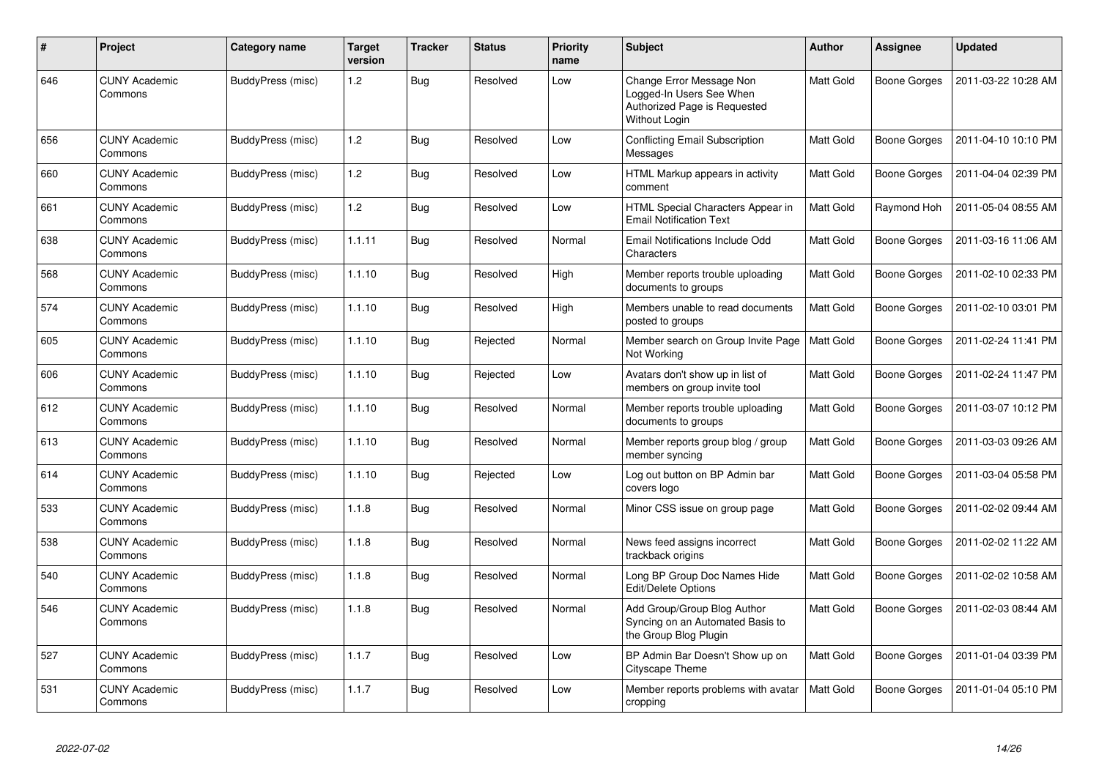| #   | Project                         | Category name     | <b>Target</b><br>version | <b>Tracker</b> | <b>Status</b> | <b>Priority</b><br>name | <b>Subject</b>                                                                                        | <b>Author</b>    | Assignee     | <b>Updated</b>      |
|-----|---------------------------------|-------------------|--------------------------|----------------|---------------|-------------------------|-------------------------------------------------------------------------------------------------------|------------------|--------------|---------------------|
| 646 | <b>CUNY Academic</b><br>Commons | BuddyPress (misc) | 1.2                      | <b>Bug</b>     | Resolved      | Low                     | Change Error Message Non<br>Logged-In Users See When<br>Authorized Page is Requested<br>Without Login | Matt Gold        | Boone Gorges | 2011-03-22 10:28 AM |
| 656 | <b>CUNY Academic</b><br>Commons | BuddyPress (misc) | 1.2                      | Bug            | Resolved      | Low                     | <b>Conflicting Email Subscription</b><br>Messages                                                     | <b>Matt Gold</b> | Boone Gorges | 2011-04-10 10:10 PM |
| 660 | <b>CUNY Academic</b><br>Commons | BuddyPress (misc) | 1.2                      | <b>Bug</b>     | Resolved      | Low                     | HTML Markup appears in activity<br>comment                                                            | <b>Matt Gold</b> | Boone Gorges | 2011-04-04 02:39 PM |
| 661 | <b>CUNY Academic</b><br>Commons | BuddyPress (misc) | 1.2                      | <b>Bug</b>     | Resolved      | Low                     | HTML Special Characters Appear in<br><b>Email Notification Text</b>                                   | <b>Matt Gold</b> | Raymond Hoh  | 2011-05-04 08:55 AM |
| 638 | <b>CUNY Academic</b><br>Commons | BuddyPress (misc) | 1.1.11                   | <b>Bug</b>     | Resolved      | Normal                  | Email Notifications Include Odd<br>Characters                                                         | Matt Gold        | Boone Gorges | 2011-03-16 11:06 AM |
| 568 | <b>CUNY Academic</b><br>Commons | BuddyPress (misc) | 1.1.10                   | <b>Bug</b>     | Resolved      | High                    | Member reports trouble uploading<br>documents to groups                                               | <b>Matt Gold</b> | Boone Gorges | 2011-02-10 02:33 PM |
| 574 | <b>CUNY Academic</b><br>Commons | BuddyPress (misc) | 1.1.10                   | Bug            | Resolved      | High                    | Members unable to read documents<br>posted to groups                                                  | Matt Gold        | Boone Gorges | 2011-02-10 03:01 PM |
| 605 | <b>CUNY Academic</b><br>Commons | BuddyPress (misc) | 1.1.10                   | Bug            | Rejected      | Normal                  | Member search on Group Invite Page<br>Not Working                                                     | <b>Matt Gold</b> | Boone Gorges | 2011-02-24 11:41 PM |
| 606 | <b>CUNY Academic</b><br>Commons | BuddyPress (misc) | 1.1.10                   | Bug            | Rejected      | Low                     | Avatars don't show up in list of<br>members on group invite tool                                      | <b>Matt Gold</b> | Boone Gorges | 2011-02-24 11:47 PM |
| 612 | <b>CUNY Academic</b><br>Commons | BuddyPress (misc) | 1.1.10                   | Bug            | Resolved      | Normal                  | Member reports trouble uploading<br>documents to groups                                               | Matt Gold        | Boone Gorges | 2011-03-07 10:12 PM |
| 613 | <b>CUNY Academic</b><br>Commons | BuddyPress (misc) | 1.1.10                   | Bug            | Resolved      | Normal                  | Member reports group blog / group<br>member syncing                                                   | <b>Matt Gold</b> | Boone Gorges | 2011-03-03 09:26 AM |
| 614 | <b>CUNY Academic</b><br>Commons | BuddyPress (misc) | 1.1.10                   | <b>Bug</b>     | Rejected      | Low                     | Log out button on BP Admin bar<br>covers logo                                                         | <b>Matt Gold</b> | Boone Gorges | 2011-03-04 05:58 PM |
| 533 | <b>CUNY Academic</b><br>Commons | BuddyPress (misc) | 1.1.8                    | <b>Bug</b>     | Resolved      | Normal                  | Minor CSS issue on group page                                                                         | Matt Gold        | Boone Gorges | 2011-02-02 09:44 AM |
| 538 | <b>CUNY Academic</b><br>Commons | BuddyPress (misc) | 1.1.8                    | <b>Bug</b>     | Resolved      | Normal                  | News feed assigns incorrect<br>trackback origins                                                      | Matt Gold        | Boone Gorges | 2011-02-02 11:22 AM |
| 540 | <b>CUNY Academic</b><br>Commons | BuddyPress (misc) | 1.1.8                    | Bug            | Resolved      | Normal                  | Long BP Group Doc Names Hide<br>Edit/Delete Options                                                   | <b>Matt Gold</b> | Boone Gorges | 2011-02-02 10:58 AM |
| 546 | <b>CUNY Academic</b><br>Commons | BuddyPress (misc) | 1.1.8                    | Bug            | Resolved      | Normal                  | Add Group/Group Blog Author<br>Syncing on an Automated Basis to<br>the Group Blog Plugin              | Matt Gold        | Boone Gorges | 2011-02-03 08:44 AM |
| 527 | <b>CUNY Academic</b><br>Commons | BuddyPress (misc) | 1.1.7                    | <b>Bug</b>     | Resolved      | Low                     | BP Admin Bar Doesn't Show up on<br>Cityscape Theme                                                    | <b>Matt Gold</b> | Boone Gorges | 2011-01-04 03:39 PM |
| 531 | <b>CUNY Academic</b><br>Commons | BuddyPress (misc) | 1.1.7                    | Bug            | Resolved      | Low                     | Member reports problems with avatar<br>cropping                                                       | <b>Matt Gold</b> | Boone Gorges | 2011-01-04 05:10 PM |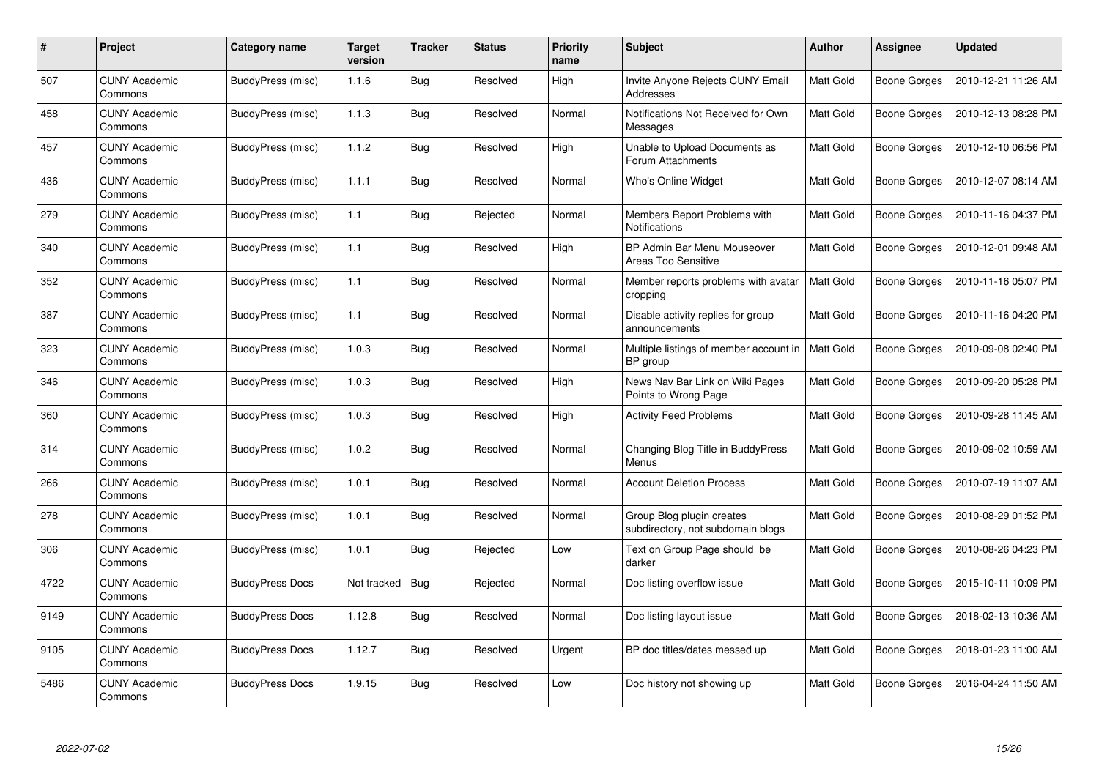| #    | <b>Project</b>                  | Category name          | <b>Target</b><br>version | <b>Tracker</b> | <b>Status</b> | <b>Priority</b><br>name | <b>Subject</b>                                                 | Author    | Assignee            | <b>Updated</b>      |
|------|---------------------------------|------------------------|--------------------------|----------------|---------------|-------------------------|----------------------------------------------------------------|-----------|---------------------|---------------------|
| 507  | <b>CUNY Academic</b><br>Commons | BuddyPress (misc)      | 1.1.6                    | <b>Bug</b>     | Resolved      | High                    | Invite Anyone Rejects CUNY Email<br>Addresses                  | Matt Gold | Boone Gorges        | 2010-12-21 11:26 AM |
| 458  | <b>CUNY Academic</b><br>Commons | BuddyPress (misc)      | 1.1.3                    | Bug            | Resolved      | Normal                  | Notifications Not Received for Own<br>Messages                 | Matt Gold | Boone Gorges        | 2010-12-13 08:28 PM |
| 457  | <b>CUNY Academic</b><br>Commons | BuddyPress (misc)      | 1.1.2                    | <b>Bug</b>     | Resolved      | High                    | Unable to Upload Documents as<br>Forum Attachments             | Matt Gold | Boone Gorges        | 2010-12-10 06:56 PM |
| 436  | <b>CUNY Academic</b><br>Commons | BuddyPress (misc)      | 1.1.1                    | <b>Bug</b>     | Resolved      | Normal                  | Who's Online Widget                                            | Matt Gold | Boone Gorges        | 2010-12-07 08:14 AM |
| 279  | <b>CUNY Academic</b><br>Commons | BuddyPress (misc)      | 1.1                      | Bug            | Rejected      | Normal                  | Members Report Problems with<br><b>Notifications</b>           | Matt Gold | <b>Boone Gorges</b> | 2010-11-16 04:37 PM |
| 340  | <b>CUNY Academic</b><br>Commons | BuddyPress (misc)      | 1.1                      | <b>Bug</b>     | Resolved      | High                    | BP Admin Bar Menu Mouseover<br><b>Areas Too Sensitive</b>      | Matt Gold | Boone Gorges        | 2010-12-01 09:48 AM |
| 352  | <b>CUNY Academic</b><br>Commons | BuddyPress (misc)      | 1.1                      | Bug            | Resolved      | Normal                  | Member reports problems with avatar<br>cropping                | Matt Gold | Boone Gorges        | 2010-11-16 05:07 PM |
| 387  | <b>CUNY Academic</b><br>Commons | BuddyPress (misc)      | 1.1                      | <b>Bug</b>     | Resolved      | Normal                  | Disable activity replies for group<br>announcements            | Matt Gold | Boone Gorges        | 2010-11-16 04:20 PM |
| 323  | <b>CUNY Academic</b><br>Commons | BuddyPress (misc)      | 1.0.3                    | Bug            | Resolved      | Normal                  | Multiple listings of member account in<br>BP group             | Matt Gold | Boone Gorges        | 2010-09-08 02:40 PM |
| 346  | <b>CUNY Academic</b><br>Commons | BuddyPress (misc)      | 1.0.3                    | Bug            | Resolved      | High                    | News Nav Bar Link on Wiki Pages<br>Points to Wrong Page        | Matt Gold | <b>Boone Gorges</b> | 2010-09-20 05:28 PM |
| 360  | <b>CUNY Academic</b><br>Commons | BuddyPress (misc)      | 1.0.3                    | Bug            | Resolved      | High                    | <b>Activity Feed Problems</b>                                  | Matt Gold | Boone Gorges        | 2010-09-28 11:45 AM |
| 314  | <b>CUNY Academic</b><br>Commons | BuddyPress (misc)      | 1.0.2                    | <b>Bug</b>     | Resolved      | Normal                  | Changing Blog Title in BuddyPress<br>Menus                     | Matt Gold | <b>Boone Gorges</b> | 2010-09-02 10:59 AM |
| 266  | <b>CUNY Academic</b><br>Commons | BuddyPress (misc)      | 1.0.1                    | Bug            | Resolved      | Normal                  | <b>Account Deletion Process</b>                                | Matt Gold | <b>Boone Gorges</b> | 2010-07-19 11:07 AM |
| 278  | <b>CUNY Academic</b><br>Commons | BuddyPress (misc)      | 1.0.1                    | <b>Bug</b>     | Resolved      | Normal                  | Group Blog plugin creates<br>subdirectory, not subdomain blogs | Matt Gold | Boone Gorges        | 2010-08-29 01:52 PM |
| 306  | <b>CUNY Academic</b><br>Commons | BuddyPress (misc)      | 1.0.1                    | Bug            | Rejected      | Low                     | Text on Group Page should be<br>darker                         | Matt Gold | Boone Gorges        | 2010-08-26 04:23 PM |
| 4722 | <b>CUNY Academic</b><br>Commons | <b>BuddyPress Docs</b> | Not tracked              | <b>Bug</b>     | Rejected      | Normal                  | Doc listing overflow issue                                     | Matt Gold | Boone Gorges        | 2015-10-11 10:09 PM |
| 9149 | <b>CUNY Academic</b><br>Commons | <b>BuddyPress Docs</b> | 1.12.8                   | <b>Bug</b>     | Resolved      | Normal                  | Doc listing layout issue                                       | Matt Gold | Boone Gorges        | 2018-02-13 10:36 AM |
| 9105 | <b>CUNY Academic</b><br>Commons | <b>BuddyPress Docs</b> | 1.12.7                   | <b>Bug</b>     | Resolved      | Urgent                  | BP doc titles/dates messed up                                  | Matt Gold | Boone Gorges        | 2018-01-23 11:00 AM |
| 5486 | <b>CUNY Academic</b><br>Commons | <b>BuddyPress Docs</b> | 1.9.15                   | Bug            | Resolved      | Low                     | Doc history not showing up                                     | Matt Gold | Boone Gorges        | 2016-04-24 11:50 AM |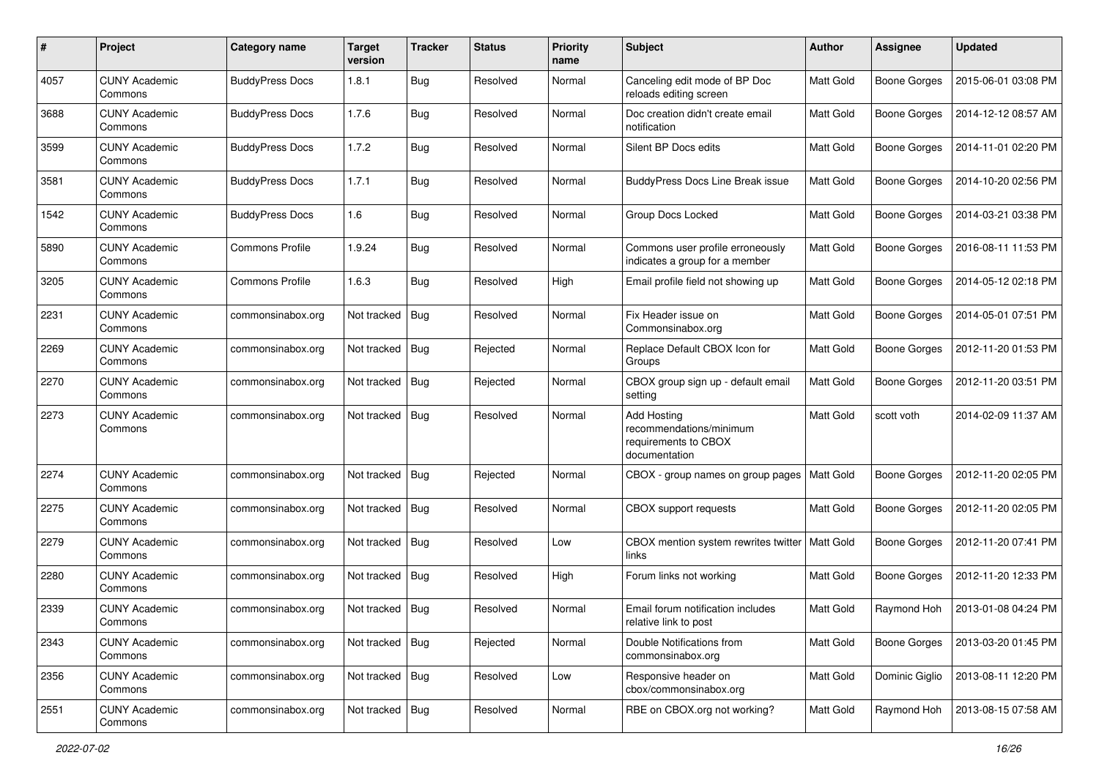| #    | Project                         | <b>Category name</b>   | <b>Target</b><br>version | <b>Tracker</b> | <b>Status</b> | <b>Priority</b><br>name | Subject                                                                                | <b>Author</b> | <b>Assignee</b>     | <b>Updated</b>      |
|------|---------------------------------|------------------------|--------------------------|----------------|---------------|-------------------------|----------------------------------------------------------------------------------------|---------------|---------------------|---------------------|
| 4057 | <b>CUNY Academic</b><br>Commons | <b>BuddyPress Docs</b> | 1.8.1                    | <b>Bug</b>     | Resolved      | Normal                  | Canceling edit mode of BP Doc<br>reloads editing screen                                | Matt Gold     | <b>Boone Gorges</b> | 2015-06-01 03:08 PM |
| 3688 | <b>CUNY Academic</b><br>Commons | <b>BuddyPress Docs</b> | 1.7.6                    | <b>Bug</b>     | Resolved      | Normal                  | Doc creation didn't create email<br>notification                                       | Matt Gold     | <b>Boone Gorges</b> | 2014-12-12 08:57 AM |
| 3599 | <b>CUNY Academic</b><br>Commons | <b>BuddyPress Docs</b> | 1.7.2                    | Bug            | Resolved      | Normal                  | Silent BP Docs edits                                                                   | Matt Gold     | <b>Boone Gorges</b> | 2014-11-01 02:20 PM |
| 3581 | <b>CUNY Academic</b><br>Commons | <b>BuddyPress Docs</b> | 1.7.1                    | Bug            | Resolved      | Normal                  | <b>BuddyPress Docs Line Break issue</b>                                                | Matt Gold     | <b>Boone Gorges</b> | 2014-10-20 02:56 PM |
| 1542 | <b>CUNY Academic</b><br>Commons | <b>BuddyPress Docs</b> | 1.6                      | <b>Bug</b>     | Resolved      | Normal                  | Group Docs Locked                                                                      | Matt Gold     | <b>Boone Gorges</b> | 2014-03-21 03:38 PM |
| 5890 | <b>CUNY Academic</b><br>Commons | <b>Commons Profile</b> | 1.9.24                   | <b>Bug</b>     | Resolved      | Normal                  | Commons user profile erroneously<br>indicates a group for a member                     | Matt Gold     | <b>Boone Gorges</b> | 2016-08-11 11:53 PM |
| 3205 | <b>CUNY Academic</b><br>Commons | <b>Commons Profile</b> | 1.6.3                    | Bug            | Resolved      | High                    | Email profile field not showing up                                                     | Matt Gold     | <b>Boone Gorges</b> | 2014-05-12 02:18 PM |
| 2231 | <b>CUNY Academic</b><br>Commons | commonsinabox.org      | Not tracked              | <b>Bug</b>     | Resolved      | Normal                  | Fix Header issue on<br>Commonsinabox.org                                               | Matt Gold     | <b>Boone Gorges</b> | 2014-05-01 07:51 PM |
| 2269 | <b>CUNY Academic</b><br>Commons | commonsinabox.org      | Not tracked              | Bug            | Rejected      | Normal                  | Replace Default CBOX Icon for<br>Groups                                                | Matt Gold     | <b>Boone Gorges</b> | 2012-11-20 01:53 PM |
| 2270 | <b>CUNY Academic</b><br>Commons | commonsinabox.org      | Not tracked              | Bug            | Rejected      | Normal                  | CBOX group sign up - default email<br>setting                                          | Matt Gold     | Boone Gorges        | 2012-11-20 03:51 PM |
| 2273 | <b>CUNY Academic</b><br>Commons | commonsinabox.org      | Not tracked              | <b>Bug</b>     | Resolved      | Normal                  | <b>Add Hosting</b><br>recommendations/minimum<br>requirements to CBOX<br>documentation | Matt Gold     | scott voth          | 2014-02-09 11:37 AM |
| 2274 | <b>CUNY Academic</b><br>Commons | commonsinabox.org      | Not tracked              | <b>Bug</b>     | Rejected      | Normal                  | CBOX - group names on group pages                                                      | Matt Gold     | <b>Boone Gorges</b> | 2012-11-20 02:05 PM |
| 2275 | <b>CUNY Academic</b><br>Commons | commonsinabox.org      | Not tracked              | <b>Bug</b>     | Resolved      | Normal                  | <b>CBOX</b> support requests                                                           | Matt Gold     | <b>Boone Gorges</b> | 2012-11-20 02:05 PM |
| 2279 | <b>CUNY Academic</b><br>Commons | commonsinabox.org      | Not tracked              | Bug            | Resolved      | Low                     | CBOX mention system rewrites twitter<br>links                                          | Matt Gold     | <b>Boone Gorges</b> | 2012-11-20 07:41 PM |
| 2280 | <b>CUNY Academic</b><br>Commons | commonsinabox.org      | Not tracked   Bug        |                | Resolved      | High                    | Forum links not working                                                                | Matt Gold     | <b>Boone Gorges</b> | 2012-11-20 12:33 PM |
| 2339 | <b>CUNY Academic</b><br>Commons | commonsinabox.org      | Not tracked   Bug        |                | Resolved      | Normal                  | Email forum notification includes<br>relative link to post                             | Matt Gold     | Raymond Hoh         | 2013-01-08 04:24 PM |
| 2343 | <b>CUNY Academic</b><br>Commons | commonsinabox.org      | Not tracked   Bug        |                | Rejected      | Normal                  | Double Notifications from<br>commonsinabox.org                                         | Matt Gold     | <b>Boone Gorges</b> | 2013-03-20 01:45 PM |
| 2356 | <b>CUNY Academic</b><br>Commons | commonsinabox.org      | Not tracked   Bug        |                | Resolved      | Low                     | Responsive header on<br>cbox/commonsinabox.org                                         | Matt Gold     | Dominic Giglio      | 2013-08-11 12:20 PM |
| 2551 | <b>CUNY Academic</b><br>Commons | commonsinabox.org      | Not tracked   Bug        |                | Resolved      | Normal                  | RBE on CBOX.org not working?                                                           | Matt Gold     | Raymond Hoh         | 2013-08-15 07:58 AM |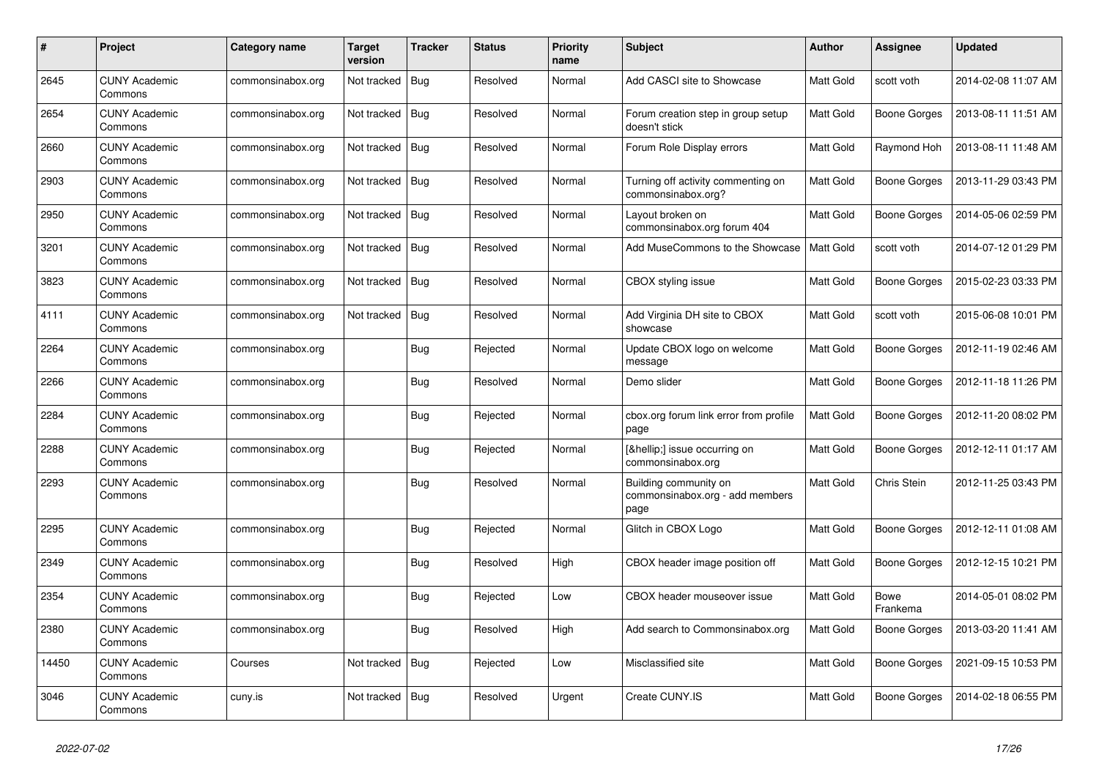| #     | Project                         | Category name     | <b>Target</b><br>version | <b>Tracker</b> | <b>Status</b> | <b>Priority</b><br>name | <b>Subject</b>                                                   | <b>Author</b>    | Assignee                | <b>Updated</b>      |
|-------|---------------------------------|-------------------|--------------------------|----------------|---------------|-------------------------|------------------------------------------------------------------|------------------|-------------------------|---------------------|
| 2645  | <b>CUNY Academic</b><br>Commons | commonsinabox.org | Not tracked              | Bug            | Resolved      | Normal                  | Add CASCI site to Showcase                                       | Matt Gold        | scott voth              | 2014-02-08 11:07 AM |
| 2654  | <b>CUNY Academic</b><br>Commons | commonsinabox.org | Not tracked              | Bug            | Resolved      | Normal                  | Forum creation step in group setup<br>doesn't stick              | <b>Matt Gold</b> | <b>Boone Gorges</b>     | 2013-08-11 11:51 AM |
| 2660  | <b>CUNY Academic</b><br>Commons | commonsinabox.org | Not tracked              | Bug            | Resolved      | Normal                  | Forum Role Display errors                                        | Matt Gold        | Raymond Hoh             | 2013-08-11 11:48 AM |
| 2903  | <b>CUNY Academic</b><br>Commons | commonsinabox.org | Not tracked              | Bug            | Resolved      | Normal                  | Turning off activity commenting on<br>commonsinabox.org?         | Matt Gold        | <b>Boone Gorges</b>     | 2013-11-29 03:43 PM |
| 2950  | <b>CUNY Academic</b><br>Commons | commonsinabox.org | Not tracked              | Bug            | Resolved      | Normal                  | Layout broken on<br>commonsinabox.org forum 404                  | Matt Gold        | <b>Boone Gorges</b>     | 2014-05-06 02:59 PM |
| 3201  | <b>CUNY Academic</b><br>Commons | commonsinabox.org | Not tracked              | Bug            | Resolved      | Normal                  | Add MuseCommons to the Showcase                                  | Matt Gold        | scott voth              | 2014-07-12 01:29 PM |
| 3823  | <b>CUNY Academic</b><br>Commons | commonsinabox.org | Not tracked              | Bug            | Resolved      | Normal                  | CBOX styling issue                                               | Matt Gold        | <b>Boone Gorges</b>     | 2015-02-23 03:33 PM |
| 4111  | <b>CUNY Academic</b><br>Commons | commonsinabox.org | Not tracked              | Bug            | Resolved      | Normal                  | Add Virginia DH site to CBOX<br>showcase                         | Matt Gold        | scott voth              | 2015-06-08 10:01 PM |
| 2264  | <b>CUNY Academic</b><br>Commons | commonsinabox.org |                          | Bug            | Rejected      | Normal                  | Update CBOX logo on welcome<br>message                           | Matt Gold        | <b>Boone Gorges</b>     | 2012-11-19 02:46 AM |
| 2266  | <b>CUNY Academic</b><br>Commons | commonsinabox.org |                          | <b>Bug</b>     | Resolved      | Normal                  | Demo slider                                                      | Matt Gold        | <b>Boone Gorges</b>     | 2012-11-18 11:26 PM |
| 2284  | <b>CUNY Academic</b><br>Commons | commonsinabox.org |                          | <b>Bug</b>     | Rejected      | Normal                  | cbox.org forum link error from profile<br>page                   | Matt Gold        | <b>Boone Gorges</b>     | 2012-11-20 08:02 PM |
| 2288  | <b>CUNY Academic</b><br>Commons | commonsinabox.org |                          | Bug            | Rejected      | Normal                  | […] issue occurring on<br>commonsinabox.org                      | Matt Gold        | Boone Gorges            | 2012-12-11 01:17 AM |
| 2293  | <b>CUNY Academic</b><br>Commons | commonsinabox.org |                          | <b>Bug</b>     | Resolved      | Normal                  | Building community on<br>commonsinabox.org - add members<br>page | Matt Gold        | Chris Stein             | 2012-11-25 03:43 PM |
| 2295  | <b>CUNY Academic</b><br>Commons | commonsinabox.org |                          | Bug            | Rejected      | Normal                  | Glitch in CBOX Logo                                              | Matt Gold        | <b>Boone Gorges</b>     | 2012-12-11 01:08 AM |
| 2349  | <b>CUNY Academic</b><br>Commons | commonsinabox.org |                          | <b>Bug</b>     | Resolved      | High                    | CBOX header image position off                                   | Matt Gold        | <b>Boone Gorges</b>     | 2012-12-15 10:21 PM |
| 2354  | <b>CUNY Academic</b><br>Commons | commonsinabox.org |                          | <b>Bug</b>     | Rejected      | Low                     | CBOX header mouseover issue                                      | Matt Gold        | <b>Bowe</b><br>Frankema | 2014-05-01 08:02 PM |
| 2380  | <b>CUNY Academic</b><br>Commons | commonsinabox.org |                          | Bug            | Resolved      | High                    | Add search to Commonsinabox.org                                  | Matt Gold        | <b>Boone Gorges</b>     | 2013-03-20 11:41 AM |
| 14450 | <b>CUNY Academic</b><br>Commons | Courses           | Not tracked              | Bug            | Rejected      | Low                     | Misclassified site                                               | Matt Gold        | <b>Boone Gorges</b>     | 2021-09-15 10:53 PM |
| 3046  | <b>CUNY Academic</b><br>Commons | cuny.is           | Not tracked              | Bug            | Resolved      | Urgent                  | Create CUNY.IS                                                   | Matt Gold        | <b>Boone Gorges</b>     | 2014-02-18 06:55 PM |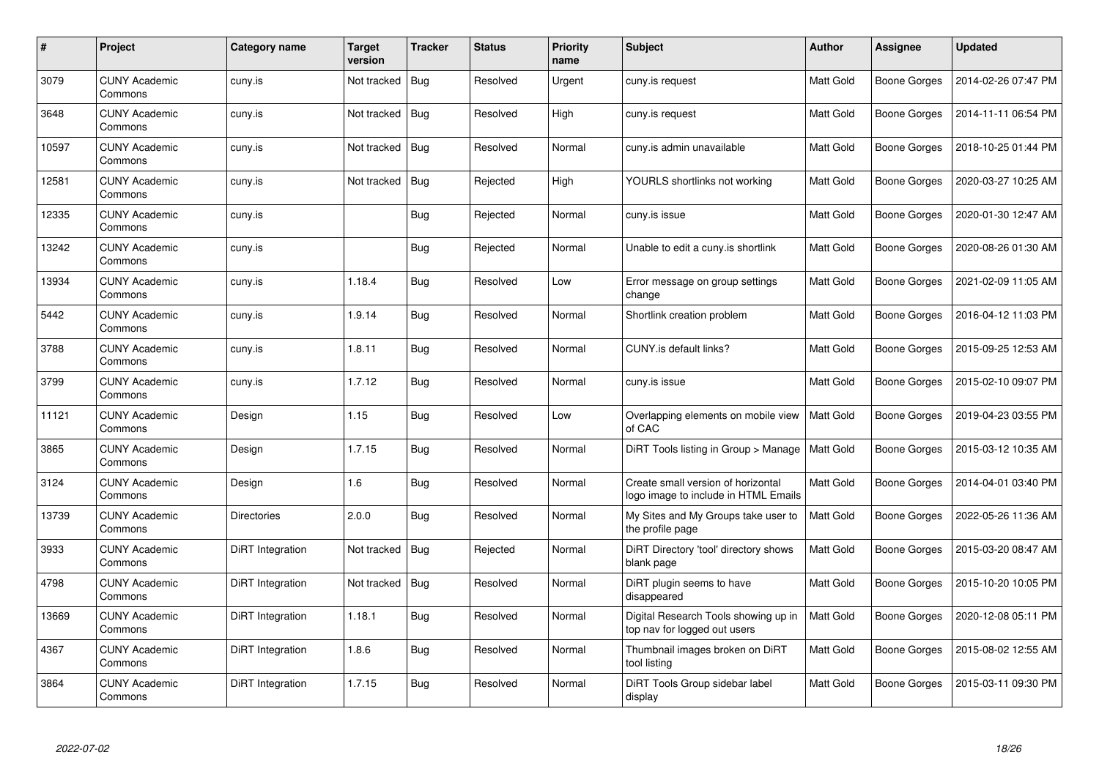| #     | Project                         | <b>Category name</b>    | <b>Target</b><br>version | <b>Tracker</b> | <b>Status</b> | <b>Priority</b><br>name | <b>Subject</b>                                                             | <b>Author</b>    | <b>Assignee</b>     | <b>Updated</b>      |
|-------|---------------------------------|-------------------------|--------------------------|----------------|---------------|-------------------------|----------------------------------------------------------------------------|------------------|---------------------|---------------------|
| 3079  | <b>CUNY Academic</b><br>Commons | cuny.is                 | Not tracked              | Bug            | Resolved      | Urgent                  | cuny.is request                                                            | Matt Gold        | Boone Gorges        | 2014-02-26 07:47 PM |
| 3648  | <b>CUNY Academic</b><br>Commons | cuny.is                 | Not tracked              | Bug            | Resolved      | High                    | cuny.is request                                                            | <b>Matt Gold</b> | Boone Gorges        | 2014-11-11 06:54 PM |
| 10597 | <b>CUNY Academic</b><br>Commons | cuny.is                 | Not tracked              | Bug            | Resolved      | Normal                  | cuny.is admin unavailable                                                  | Matt Gold        | Boone Gorges        | 2018-10-25 01:44 PM |
| 12581 | <b>CUNY Academic</b><br>Commons | cuny.is                 | Not tracked              | $\vert$ Bug    | Rejected      | High                    | YOURLS shortlinks not working                                              | Matt Gold        | <b>Boone Gorges</b> | 2020-03-27 10:25 AM |
| 12335 | <b>CUNY Academic</b><br>Commons | cuny.is                 |                          | Bug            | Rejected      | Normal                  | cuny.is issue                                                              | Matt Gold        | Boone Gorges        | 2020-01-30 12:47 AM |
| 13242 | <b>CUNY Academic</b><br>Commons | cuny.is                 |                          | Bug            | Rejected      | Normal                  | Unable to edit a cuny.is shortlink                                         | Matt Gold        | Boone Gorges        | 2020-08-26 01:30 AM |
| 13934 | <b>CUNY Academic</b><br>Commons | cuny.is                 | 1.18.4                   | Bug            | Resolved      | Low                     | Error message on group settings<br>change                                  | Matt Gold        | Boone Gorges        | 2021-02-09 11:05 AM |
| 5442  | <b>CUNY Academic</b><br>Commons | cuny.is                 | 1.9.14                   | Bug            | Resolved      | Normal                  | Shortlink creation problem                                                 | Matt Gold        | Boone Gorges        | 2016-04-12 11:03 PM |
| 3788  | <b>CUNY Academic</b><br>Commons | cuny.is                 | 1.8.11                   | <b>Bug</b>     | Resolved      | Normal                  | CUNY.is default links?                                                     | Matt Gold        | Boone Gorges        | 2015-09-25 12:53 AM |
| 3799  | <b>CUNY Academic</b><br>Commons | cuny.is                 | 1.7.12                   | <b>Bug</b>     | Resolved      | Normal                  | cuny is issue                                                              | Matt Gold        | <b>Boone Gorges</b> | 2015-02-10 09:07 PM |
| 11121 | <b>CUNY Academic</b><br>Commons | Design                  | 1.15                     | Bug            | Resolved      | Low                     | Overlapping elements on mobile view<br>of CAC                              | Matt Gold        | Boone Gorges        | 2019-04-23 03:55 PM |
| 3865  | <b>CUNY Academic</b><br>Commons | Design                  | 1.7.15                   | Bug            | Resolved      | Normal                  | DiRT Tools listing in Group > Manage                                       | Matt Gold        | Boone Gorges        | 2015-03-12 10:35 AM |
| 3124  | <b>CUNY Academic</b><br>Commons | Design                  | 1.6                      | <b>Bug</b>     | Resolved      | Normal                  | Create small version of horizontal<br>logo image to include in HTML Emails | Matt Gold        | <b>Boone Gorges</b> | 2014-04-01 03:40 PM |
| 13739 | <b>CUNY Academic</b><br>Commons | <b>Directories</b>      | 2.0.0                    | Bug            | Resolved      | Normal                  | My Sites and My Groups take user to<br>the profile page                    | Matt Gold        | Boone Gorges        | 2022-05-26 11:36 AM |
| 3933  | <b>CUNY Academic</b><br>Commons | DiRT Integration        | Not tracked              | Bug            | Rejected      | Normal                  | DiRT Directory 'tool' directory shows<br>blank page                        | Matt Gold        | Boone Gorges        | 2015-03-20 08:47 AM |
| 4798  | <b>CUNY Academic</b><br>Commons | <b>DiRT</b> Integration | Not tracked   Bug        |                | Resolved      | Normal                  | DiRT plugin seems to have<br>disappeared                                   | Matt Gold        | Boone Gorges        | 2015-10-20 10:05 PM |
| 13669 | <b>CUNY Academic</b><br>Commons | DiRT Integration        | 1.18.1                   | Bug            | Resolved      | Normal                  | Digital Research Tools showing up in<br>top nav for logged out users       | <b>Matt Gold</b> | Boone Gorges        | 2020-12-08 05:11 PM |
| 4367  | <b>CUNY Academic</b><br>Commons | DiRT Integration        | 1.8.6                    | Bug            | Resolved      | Normal                  | Thumbnail images broken on DiRT<br>tool listing                            | Matt Gold        | Boone Gorges        | 2015-08-02 12:55 AM |
| 3864  | <b>CUNY Academic</b><br>Commons | DiRT Integration        | 1.7.15                   | <b>Bug</b>     | Resolved      | Normal                  | DiRT Tools Group sidebar label<br>display                                  | Matt Gold        | <b>Boone Gorges</b> | 2015-03-11 09:30 PM |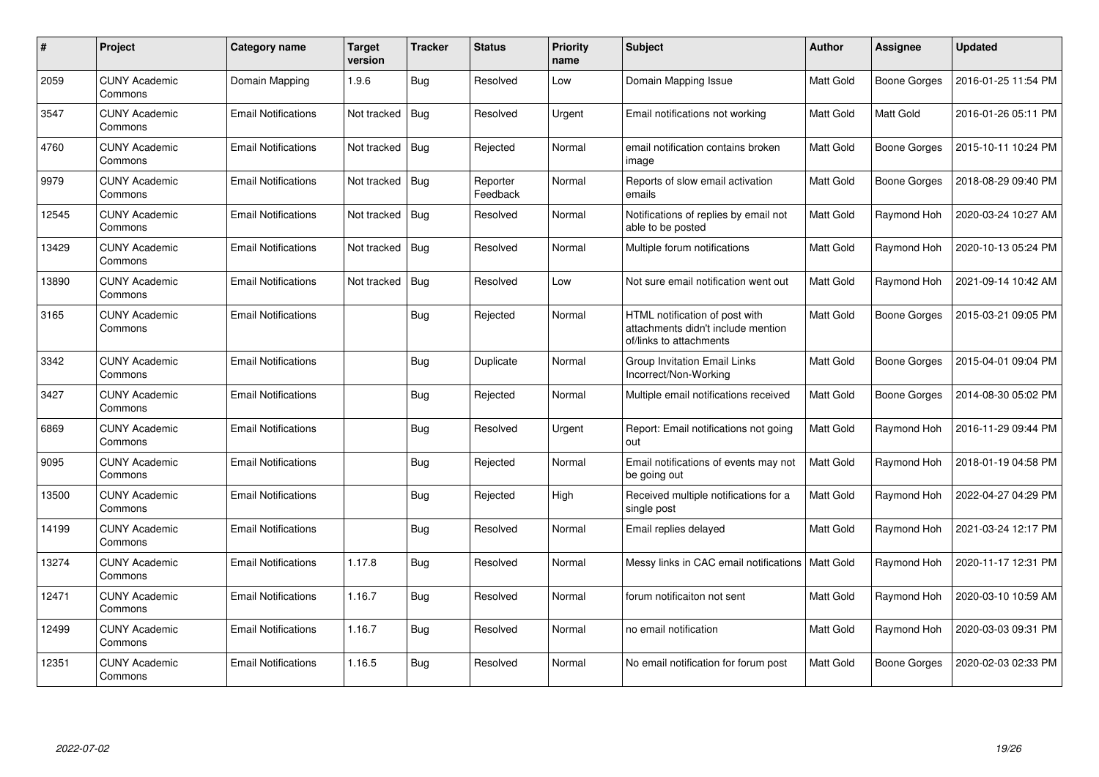| #     | Project                         | Category name              | <b>Target</b><br>version | <b>Tracker</b> | <b>Status</b>        | <b>Priority</b><br>name | <b>Subject</b>                                                                                  | Author           | <b>Assignee</b>     | <b>Updated</b>      |
|-------|---------------------------------|----------------------------|--------------------------|----------------|----------------------|-------------------------|-------------------------------------------------------------------------------------------------|------------------|---------------------|---------------------|
| 2059  | <b>CUNY Academic</b><br>Commons | Domain Mapping             | 1.9.6                    | Bug            | Resolved             | Low                     | Domain Mapping Issue                                                                            | Matt Gold        | <b>Boone Gorges</b> | 2016-01-25 11:54 PM |
| 3547  | <b>CUNY Academic</b><br>Commons | <b>Email Notifications</b> | Not tracked              | Bug            | Resolved             | Urgent                  | Email notifications not working                                                                 | Matt Gold        | Matt Gold           | 2016-01-26 05:11 PM |
| 4760  | <b>CUNY Academic</b><br>Commons | <b>Email Notifications</b> | Not tracked              | Bug            | Rejected             | Normal                  | email notification contains broken<br>image                                                     | Matt Gold        | <b>Boone Gorges</b> | 2015-10-11 10:24 PM |
| 9979  | <b>CUNY Academic</b><br>Commons | <b>Email Notifications</b> | Not tracked              | Bug            | Reporter<br>Feedback | Normal                  | Reports of slow email activation<br>emails                                                      | Matt Gold        | <b>Boone Gorges</b> | 2018-08-29 09:40 PM |
| 12545 | <b>CUNY Academic</b><br>Commons | <b>Email Notifications</b> | Not tracked              | Bug            | Resolved             | Normal                  | Notifications of replies by email not<br>able to be posted                                      | Matt Gold        | Raymond Hoh         | 2020-03-24 10:27 AM |
| 13429 | <b>CUNY Academic</b><br>Commons | <b>Email Notifications</b> | Not tracked              | Bug            | Resolved             | Normal                  | Multiple forum notifications                                                                    | Matt Gold        | Raymond Hoh         | 2020-10-13 05:24 PM |
| 13890 | CUNY Academic<br>Commons        | <b>Email Notifications</b> | Not tracked              | Bug            | Resolved             | Low                     | Not sure email notification went out                                                            | Matt Gold        | Raymond Hoh         | 2021-09-14 10:42 AM |
| 3165  | <b>CUNY Academic</b><br>Commons | <b>Email Notifications</b> |                          | Bug            | Rejected             | Normal                  | HTML notification of post with<br>attachments didn't include mention<br>of/links to attachments | <b>Matt Gold</b> | <b>Boone Gorges</b> | 2015-03-21 09:05 PM |
| 3342  | <b>CUNY Academic</b><br>Commons | <b>Email Notifications</b> |                          | Bug            | Duplicate            | Normal                  | <b>Group Invitation Email Links</b><br>Incorrect/Non-Working                                    | Matt Gold        | <b>Boone Gorges</b> | 2015-04-01 09:04 PM |
| 3427  | <b>CUNY Academic</b><br>Commons | <b>Email Notifications</b> |                          | Bug            | Rejected             | Normal                  | Multiple email notifications received                                                           | Matt Gold        | <b>Boone Gorges</b> | 2014-08-30 05:02 PM |
| 6869  | <b>CUNY Academic</b><br>Commons | <b>Email Notifications</b> |                          | Bug            | Resolved             | Urgent                  | Report: Email notifications not going<br>out                                                    | Matt Gold        | Raymond Hoh         | 2016-11-29 09:44 PM |
| 9095  | <b>CUNY Academic</b><br>Commons | <b>Email Notifications</b> |                          | Bug            | Rejected             | Normal                  | Email notifications of events may not<br>be going out                                           | Matt Gold        | Raymond Hoh         | 2018-01-19 04:58 PM |
| 13500 | <b>CUNY Academic</b><br>Commons | <b>Email Notifications</b> |                          | Bug            | Rejected             | High                    | Received multiple notifications for a<br>single post                                            | Matt Gold        | Raymond Hoh         | 2022-04-27 04:29 PM |
| 14199 | <b>CUNY Academic</b><br>Commons | <b>Email Notifications</b> |                          | Bug            | Resolved             | Normal                  | Email replies delayed                                                                           | Matt Gold        | Raymond Hoh         | 2021-03-24 12:17 PM |
| 13274 | <b>CUNY Academic</b><br>Commons | <b>Email Notifications</b> | 1.17.8                   | Bug            | Resolved             | Normal                  | Messy links in CAC email notifications                                                          | Matt Gold        | Raymond Hoh         | 2020-11-17 12:31 PM |
| 12471 | <b>CUNY Academic</b><br>Commons | <b>Email Notifications</b> | 1.16.7                   | Bug            | Resolved             | Normal                  | forum notificaiton not sent                                                                     | Matt Gold        | Raymond Hoh         | 2020-03-10 10:59 AM |
| 12499 | CUNY Academic<br>Commons        | <b>Email Notifications</b> | 1.16.7                   | Bug            | Resolved             | Normal                  | no email notification                                                                           | Matt Gold        | Raymond Hoh         | 2020-03-03 09:31 PM |
| 12351 | <b>CUNY Academic</b><br>Commons | <b>Email Notifications</b> | 1.16.5                   | Bug            | Resolved             | Normal                  | No email notification for forum post                                                            | Matt Gold        | <b>Boone Gorges</b> | 2020-02-03 02:33 PM |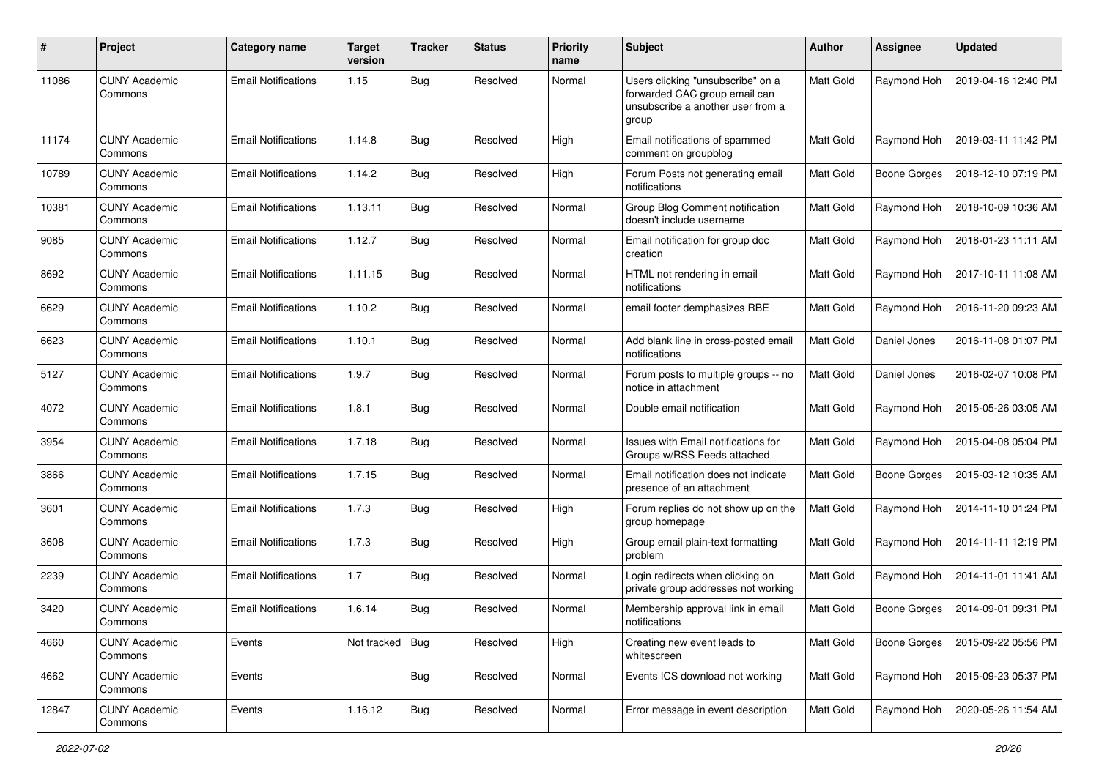| #     | Project                         | Category name              | <b>Target</b><br>version | <b>Tracker</b> | <b>Status</b> | <b>Priority</b><br>name | <b>Subject</b>                                                                                                   | <b>Author</b>    | Assignee            | <b>Updated</b>      |
|-------|---------------------------------|----------------------------|--------------------------|----------------|---------------|-------------------------|------------------------------------------------------------------------------------------------------------------|------------------|---------------------|---------------------|
| 11086 | <b>CUNY Academic</b><br>Commons | <b>Email Notifications</b> | 1.15                     | Bug            | Resolved      | Normal                  | Users clicking "unsubscribe" on a<br>forwarded CAC group email can<br>unsubscribe a another user from a<br>group | Matt Gold        | Raymond Hoh         | 2019-04-16 12:40 PM |
| 11174 | <b>CUNY Academic</b><br>Commons | <b>Email Notifications</b> | 1.14.8                   | <b>Bug</b>     | Resolved      | High                    | Email notifications of spammed<br>comment on groupblog                                                           | Matt Gold        | Raymond Hoh         | 2019-03-11 11:42 PM |
| 10789 | <b>CUNY Academic</b><br>Commons | <b>Email Notifications</b> | 1.14.2                   | Bug            | Resolved      | High                    | Forum Posts not generating email<br>notifications                                                                | Matt Gold        | <b>Boone Gorges</b> | 2018-12-10 07:19 PM |
| 10381 | <b>CUNY Academic</b><br>Commons | <b>Email Notifications</b> | 1.13.11                  | Bug            | Resolved      | Normal                  | Group Blog Comment notification<br>doesn't include username                                                      | Matt Gold        | Raymond Hoh         | 2018-10-09 10:36 AM |
| 9085  | <b>CUNY Academic</b><br>Commons | <b>Email Notifications</b> | 1.12.7                   | <b>Bug</b>     | Resolved      | Normal                  | Email notification for group doc<br>creation                                                                     | Matt Gold        | Raymond Hoh         | 2018-01-23 11:11 AM |
| 8692  | <b>CUNY Academic</b><br>Commons | <b>Email Notifications</b> | 1.11.15                  | <b>Bug</b>     | Resolved      | Normal                  | HTML not rendering in email<br>notifications                                                                     | Matt Gold        | Raymond Hoh         | 2017-10-11 11:08 AM |
| 6629  | <b>CUNY Academic</b><br>Commons | <b>Email Notifications</b> | 1.10.2                   | <b>Bug</b>     | Resolved      | Normal                  | email footer demphasizes RBE                                                                                     | Matt Gold        | Raymond Hoh         | 2016-11-20 09:23 AM |
| 6623  | <b>CUNY Academic</b><br>Commons | <b>Email Notifications</b> | 1.10.1                   | Bug            | Resolved      | Normal                  | Add blank line in cross-posted email<br>notifications                                                            | Matt Gold        | Daniel Jones        | 2016-11-08 01:07 PM |
| 5127  | <b>CUNY Academic</b><br>Commons | <b>Email Notifications</b> | 1.9.7                    | <b>Bug</b>     | Resolved      | Normal                  | Forum posts to multiple groups -- no<br>notice in attachment                                                     | Matt Gold        | Daniel Jones        | 2016-02-07 10:08 PM |
| 4072  | <b>CUNY Academic</b><br>Commons | <b>Email Notifications</b> | 1.8.1                    | <b>Bug</b>     | Resolved      | Normal                  | Double email notification                                                                                        | Matt Gold        | Raymond Hoh         | 2015-05-26 03:05 AM |
| 3954  | <b>CUNY Academic</b><br>Commons | <b>Email Notifications</b> | 1.7.18                   | Bug            | Resolved      | Normal                  | Issues with Email notifications for<br>Groups w/RSS Feeds attached                                               | Matt Gold        | Raymond Hoh         | 2015-04-08 05:04 PM |
| 3866  | <b>CUNY Academic</b><br>Commons | <b>Email Notifications</b> | 1.7.15                   | <b>Bug</b>     | Resolved      | Normal                  | Email notification does not indicate<br>presence of an attachment                                                | Matt Gold        | <b>Boone Gorges</b> | 2015-03-12 10:35 AM |
| 3601  | <b>CUNY Academic</b><br>Commons | <b>Email Notifications</b> | 1.7.3                    | Bug            | Resolved      | High                    | Forum replies do not show up on the<br>group homepage                                                            | Matt Gold        | Raymond Hoh         | 2014-11-10 01:24 PM |
| 3608  | <b>CUNY Academic</b><br>Commons | <b>Email Notifications</b> | 1.7.3                    | <b>Bug</b>     | Resolved      | High                    | Group email plain-text formatting<br>problem                                                                     | Matt Gold        | Raymond Hoh         | 2014-11-11 12:19 PM |
| 2239  | <b>CUNY Academic</b><br>Commons | <b>Email Notifications</b> | 1.7                      | Bug            | Resolved      | Normal                  | Login redirects when clicking on<br>private group addresses not working                                          | <b>Matt Gold</b> | Raymond Hoh         | 2014-11-01 11:41 AM |
| 3420  | <b>CUNY Academic</b><br>Commons | <b>Email Notifications</b> | 1.6.14                   | Bug            | Resolved      | Normal                  | Membership approval link in email<br>notifications                                                               | Matt Gold        | Boone Gorges        | 2014-09-01 09:31 PM |
| 4660  | <b>CUNY Academic</b><br>Commons | Events                     | Not tracked   Bug        |                | Resolved      | High                    | Creating new event leads to<br>whitescreen                                                                       | Matt Gold        | <b>Boone Gorges</b> | 2015-09-22 05:56 PM |
| 4662  | <b>CUNY Academic</b><br>Commons | Events                     |                          | Bug            | Resolved      | Normal                  | Events ICS download not working                                                                                  | Matt Gold        | Raymond Hoh         | 2015-09-23 05:37 PM |
| 12847 | <b>CUNY Academic</b><br>Commons | Events                     | 1.16.12                  | <b>Bug</b>     | Resolved      | Normal                  | Error message in event description                                                                               | Matt Gold        | Raymond Hoh         | 2020-05-26 11:54 AM |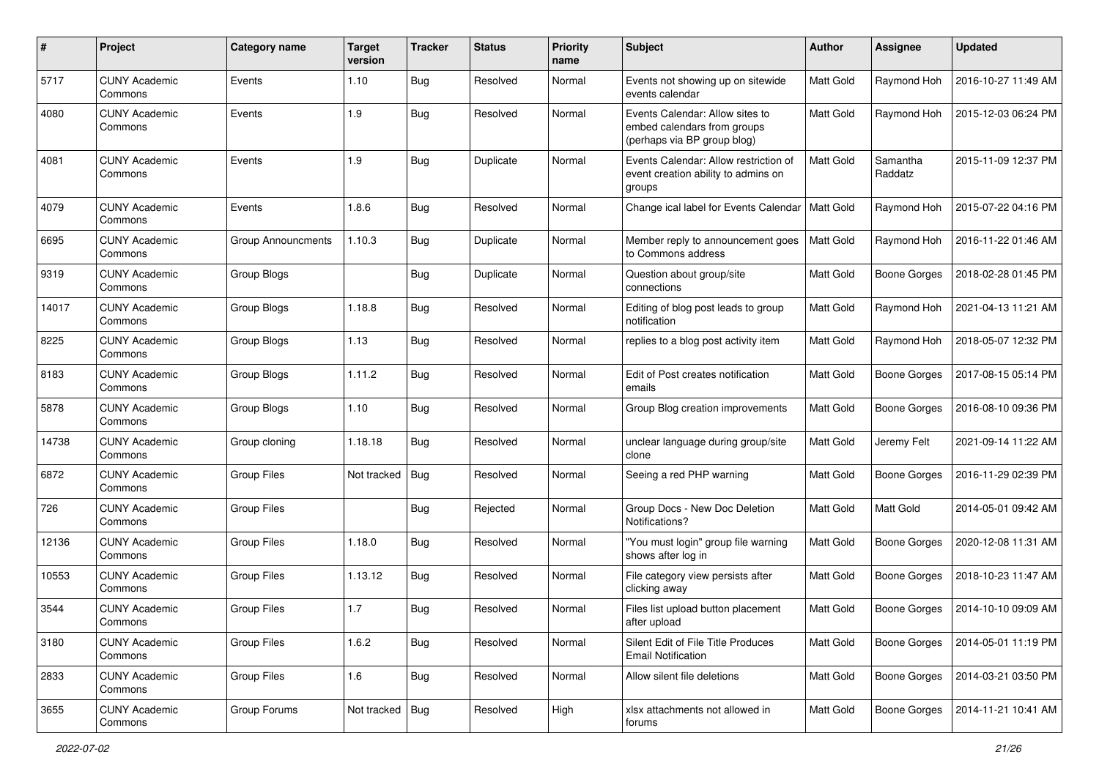| $\pmb{\#}$ | Project                         | Category name             | <b>Target</b><br>version | <b>Tracker</b> | <b>Status</b> | <b>Priority</b><br>name | <b>Subject</b>                                                                                | Author           | Assignee            | <b>Updated</b>      |
|------------|---------------------------------|---------------------------|--------------------------|----------------|---------------|-------------------------|-----------------------------------------------------------------------------------------------|------------------|---------------------|---------------------|
| 5717       | <b>CUNY Academic</b><br>Commons | Events                    | 1.10                     | <b>Bug</b>     | Resolved      | Normal                  | Events not showing up on sitewide<br>events calendar                                          | Matt Gold        | Raymond Hoh         | 2016-10-27 11:49 AM |
| 4080       | <b>CUNY Academic</b><br>Commons | Events                    | 1.9                      | <b>Bug</b>     | Resolved      | Normal                  | Events Calendar: Allow sites to<br>embed calendars from groups<br>(perhaps via BP group blog) | <b>Matt Gold</b> | Raymond Hoh         | 2015-12-03 06:24 PM |
| 4081       | <b>CUNY Academic</b><br>Commons | Events                    | 1.9                      | <b>Bug</b>     | Duplicate     | Normal                  | Events Calendar: Allow restriction of<br>event creation ability to admins on<br>groups        | Matt Gold        | Samantha<br>Raddatz | 2015-11-09 12:37 PM |
| 4079       | <b>CUNY Academic</b><br>Commons | Events                    | 1.8.6                    | Bug            | Resolved      | Normal                  | Change ical label for Events Calendar                                                         | Matt Gold        | Raymond Hoh         | 2015-07-22 04:16 PM |
| 6695       | <b>CUNY Academic</b><br>Commons | <b>Group Announcments</b> | 1.10.3                   | <b>Bug</b>     | Duplicate     | Normal                  | Member reply to announcement goes<br>to Commons address                                       | Matt Gold        | Raymond Hoh         | 2016-11-22 01:46 AM |
| 9319       | <b>CUNY Academic</b><br>Commons | Group Blogs               |                          | <b>Bug</b>     | Duplicate     | Normal                  | Question about group/site<br>connections                                                      | Matt Gold        | <b>Boone Gorges</b> | 2018-02-28 01:45 PM |
| 14017      | <b>CUNY Academic</b><br>Commons | Group Blogs               | 1.18.8                   | Bug            | Resolved      | Normal                  | Editing of blog post leads to group<br>notification                                           | Matt Gold        | Raymond Hoh         | 2021-04-13 11:21 AM |
| 8225       | <b>CUNY Academic</b><br>Commons | Group Blogs               | 1.13                     | <b>Bug</b>     | Resolved      | Normal                  | replies to a blog post activity item                                                          | Matt Gold        | Raymond Hoh         | 2018-05-07 12:32 PM |
| 8183       | <b>CUNY Academic</b><br>Commons | Group Blogs               | 1.11.2                   | Bug            | Resolved      | Normal                  | Edit of Post creates notification<br>emails                                                   | Matt Gold        | <b>Boone Gorges</b> | 2017-08-15 05:14 PM |
| 5878       | <b>CUNY Academic</b><br>Commons | Group Blogs               | 1.10                     | <b>Bug</b>     | Resolved      | Normal                  | Group Blog creation improvements                                                              | Matt Gold        | Boone Gorges        | 2016-08-10 09:36 PM |
| 14738      | <b>CUNY Academic</b><br>Commons | Group cloning             | 1.18.18                  | <b>Bug</b>     | Resolved      | Normal                  | unclear language during group/site<br>clone                                                   | Matt Gold        | Jeremy Felt         | 2021-09-14 11:22 AM |
| 6872       | <b>CUNY Academic</b><br>Commons | <b>Group Files</b>        | Not tracked              | <b>Bug</b>     | Resolved      | Normal                  | Seeing a red PHP warning                                                                      | Matt Gold        | <b>Boone Gorges</b> | 2016-11-29 02:39 PM |
| 726        | <b>CUNY Academic</b><br>Commons | <b>Group Files</b>        |                          | <b>Bug</b>     | Rejected      | Normal                  | Group Docs - New Doc Deletion<br>Notifications?                                               | Matt Gold        | Matt Gold           | 2014-05-01 09:42 AM |
| 12136      | <b>CUNY Academic</b><br>Commons | <b>Group Files</b>        | 1.18.0                   | <b>Bug</b>     | Resolved      | Normal                  | "You must login" group file warning<br>shows after log in                                     | Matt Gold        | <b>Boone Gorges</b> | 2020-12-08 11:31 AM |
| 10553      | <b>CUNY Academic</b><br>Commons | <b>Group Files</b>        | 1.13.12                  | <b>Bug</b>     | Resolved      | Normal                  | File category view persists after<br>clicking away                                            | <b>Matt Gold</b> | <b>Boone Gorges</b> | 2018-10-23 11:47 AM |
| 3544       | <b>CUNY Academic</b><br>Commons | <b>Group Files</b>        | 1.7                      | <b>Bug</b>     | Resolved      | Normal                  | Files list upload button placement<br>after upload                                            | Matt Gold        | <b>Boone Gorges</b> | 2014-10-10 09:09 AM |
| 3180       | <b>CUNY Academic</b><br>Commons | <b>Group Files</b>        | 1.6.2                    | Bug            | Resolved      | Normal                  | Silent Edit of File Title Produces<br><b>Email Notification</b>                               | Matt Gold        | Boone Gorges        | 2014-05-01 11:19 PM |
| 2833       | <b>CUNY Academic</b><br>Commons | Group Files               | 1.6                      | <b>Bug</b>     | Resolved      | Normal                  | Allow silent file deletions                                                                   | Matt Gold        | <b>Boone Gorges</b> | 2014-03-21 03:50 PM |
| 3655       | <b>CUNY Academic</b><br>Commons | Group Forums              | Not tracked   Bug        |                | Resolved      | High                    | xlsx attachments not allowed in<br>forums                                                     | Matt Gold        | <b>Boone Gorges</b> | 2014-11-21 10:41 AM |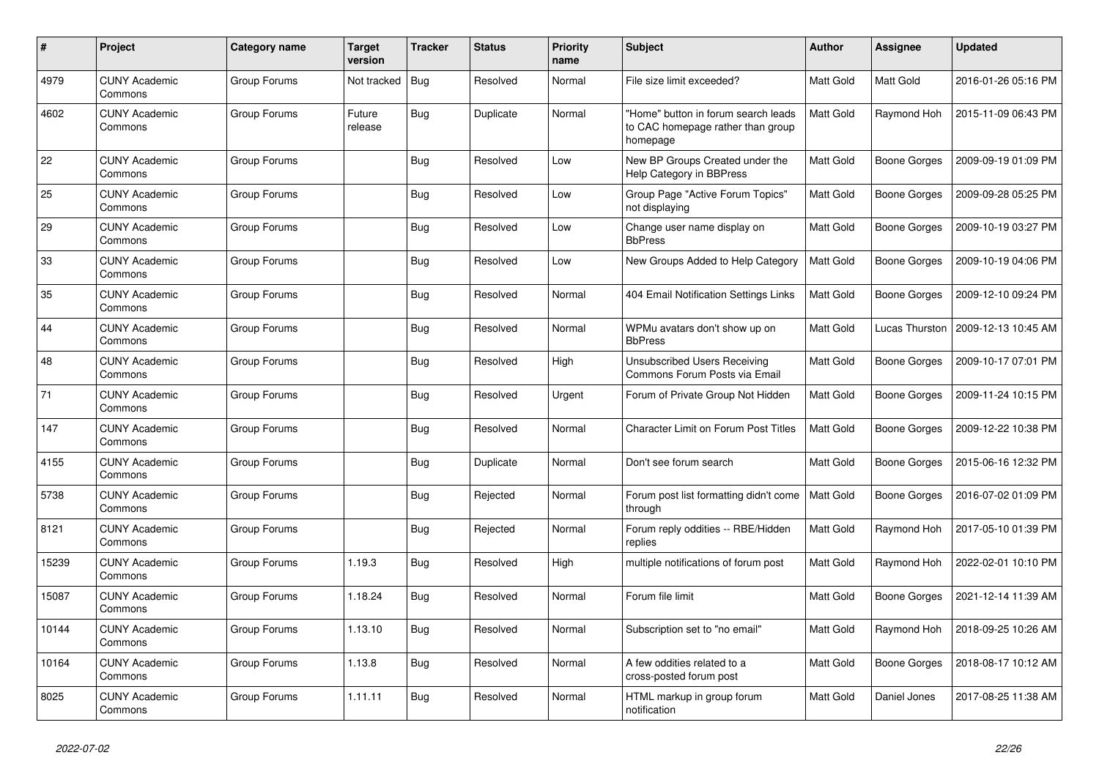| #     | Project                         | Category name | <b>Target</b><br>version | <b>Tracker</b> | <b>Status</b> | <b>Priority</b><br>name | <b>Subject</b>                                                                       | <b>Author</b>    | <b>Assignee</b>     | <b>Updated</b>      |
|-------|---------------------------------|---------------|--------------------------|----------------|---------------|-------------------------|--------------------------------------------------------------------------------------|------------------|---------------------|---------------------|
| 4979  | <b>CUNY Academic</b><br>Commons | Group Forums  | Not tracked              | Bug            | Resolved      | Normal                  | File size limit exceeded?                                                            | <b>Matt Gold</b> | Matt Gold           | 2016-01-26 05:16 PM |
| 4602  | <b>CUNY Academic</b><br>Commons | Group Forums  | Future<br>release        | Bug            | Duplicate     | Normal                  | "Home" button in forum search leads<br>to CAC homepage rather than group<br>homepage | Matt Gold        | Raymond Hoh         | 2015-11-09 06:43 PM |
| 22    | <b>CUNY Academic</b><br>Commons | Group Forums  |                          | Bug            | Resolved      | Low                     | New BP Groups Created under the<br><b>Help Category in BBPress</b>                   | Matt Gold        | <b>Boone Gorges</b> | 2009-09-19 01:09 PM |
| 25    | <b>CUNY Academic</b><br>Commons | Group Forums  |                          | Bug            | Resolved      | Low                     | Group Page "Active Forum Topics"<br>not displaying                                   | Matt Gold        | Boone Gorges        | 2009-09-28 05:25 PM |
| 29    | <b>CUNY Academic</b><br>Commons | Group Forums  |                          | <b>Bug</b>     | Resolved      | Low                     | Change user name display on<br><b>BbPress</b>                                        | Matt Gold        | Boone Gorges        | 2009-10-19 03:27 PM |
| 33    | <b>CUNY Academic</b><br>Commons | Group Forums  |                          | Bug            | Resolved      | Low                     | New Groups Added to Help Category                                                    | Matt Gold        | Boone Gorges        | 2009-10-19 04:06 PM |
| 35    | <b>CUNY Academic</b><br>Commons | Group Forums  |                          | Bug            | Resolved      | Normal                  | 404 Email Notification Settings Links                                                | Matt Gold        | Boone Gorges        | 2009-12-10 09:24 PM |
| 44    | <b>CUNY Academic</b><br>Commons | Group Forums  |                          | <b>Bug</b>     | Resolved      | Normal                  | WPMu avatars don't show up on<br><b>BbPress</b>                                      | Matt Gold        | Lucas Thurston      | 2009-12-13 10:45 AM |
| 48    | <b>CUNY Academic</b><br>Commons | Group Forums  |                          | Bug            | Resolved      | High                    | <b>Unsubscribed Users Receiving</b><br>Commons Forum Posts via Email                 | Matt Gold        | Boone Gorges        | 2009-10-17 07:01 PM |
| 71    | <b>CUNY Academic</b><br>Commons | Group Forums  |                          | Bug            | Resolved      | Urgent                  | Forum of Private Group Not Hidden                                                    | Matt Gold        | <b>Boone Gorges</b> | 2009-11-24 10:15 PM |
| 147   | <b>CUNY Academic</b><br>Commons | Group Forums  |                          | <b>Bug</b>     | Resolved      | Normal                  | <b>Character Limit on Forum Post Titles</b>                                          | Matt Gold        | Boone Gorges        | 2009-12-22 10:38 PM |
| 4155  | <b>CUNY Academic</b><br>Commons | Group Forums  |                          | <b>Bug</b>     | Duplicate     | Normal                  | Don't see forum search                                                               | Matt Gold        | Boone Gorges        | 2015-06-16 12:32 PM |
| 5738  | <b>CUNY Academic</b><br>Commons | Group Forums  |                          | <b>Bug</b>     | Rejected      | Normal                  | Forum post list formatting didn't come<br>through                                    | Matt Gold        | Boone Gorges        | 2016-07-02 01:09 PM |
| 8121  | <b>CUNY Academic</b><br>Commons | Group Forums  |                          | Bug            | Rejected      | Normal                  | Forum reply oddities -- RBE/Hidden<br>replies                                        | Matt Gold        | Raymond Hoh         | 2017-05-10 01:39 PM |
| 15239 | <b>CUNY Academic</b><br>Commons | Group Forums  | 1.19.3                   | Bug            | Resolved      | High                    | multiple notifications of forum post                                                 | Matt Gold        | Raymond Hoh         | 2022-02-01 10:10 PM |
| 15087 | <b>CUNY Academic</b><br>Commons | Group Forums  | 1.18.24                  | Bug            | Resolved      | Normal                  | Forum file limit                                                                     | Matt Gold        | Boone Gorges        | 2021-12-14 11:39 AM |
| 10144 | <b>CUNY Academic</b><br>Commons | Group Forums  | 1.13.10                  | <b>Bug</b>     | Resolved      | Normal                  | Subscription set to "no email"                                                       | Matt Gold        | Raymond Hoh         | 2018-09-25 10:26 AM |
| 10164 | <b>CUNY Academic</b><br>Commons | Group Forums  | 1.13.8                   | Bug            | Resolved      | Normal                  | A few oddities related to a<br>cross-posted forum post                               | Matt Gold        | <b>Boone Gorges</b> | 2018-08-17 10:12 AM |
| 8025  | <b>CUNY Academic</b><br>Commons | Group Forums  | 1.11.11                  | <b>Bug</b>     | Resolved      | Normal                  | HTML markup in group forum<br>notification                                           | Matt Gold        | Daniel Jones        | 2017-08-25 11:38 AM |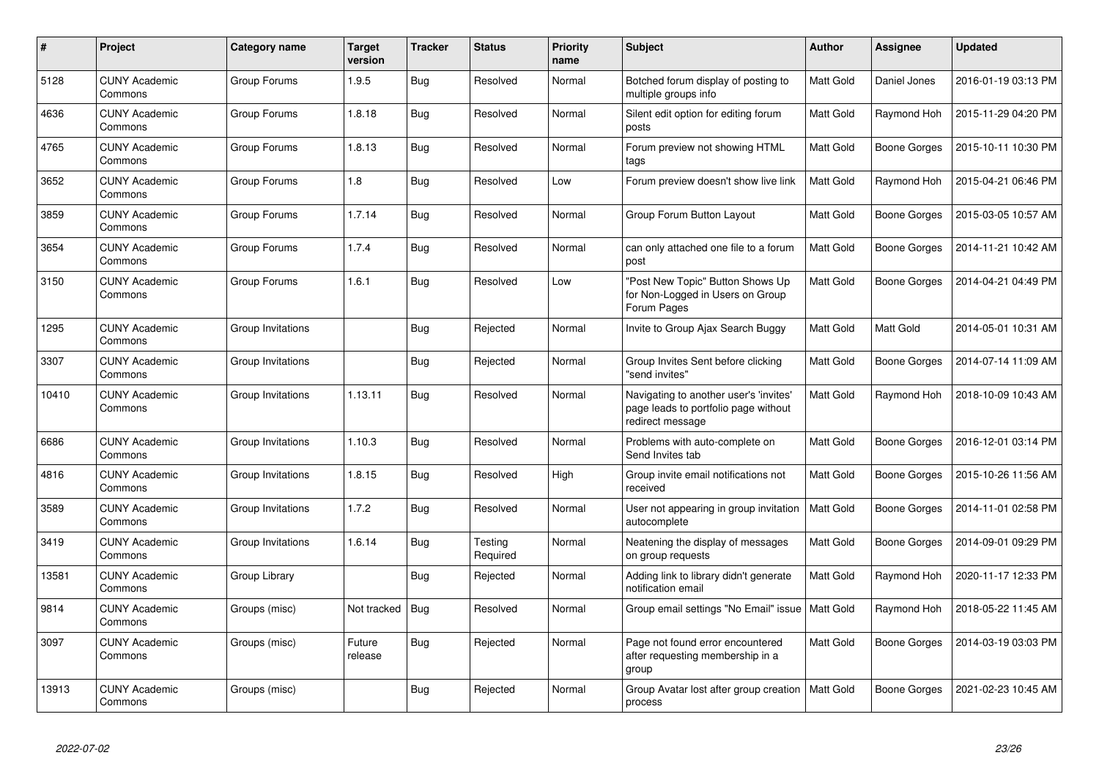| $\#$  | <b>Project</b>                  | Category name     | <b>Target</b><br>version | Tracker    | <b>Status</b>       | <b>Priority</b><br>name | <b>Subject</b>                                                                                     | <b>Author</b> | Assignee            | <b>Updated</b>      |
|-------|---------------------------------|-------------------|--------------------------|------------|---------------------|-------------------------|----------------------------------------------------------------------------------------------------|---------------|---------------------|---------------------|
| 5128  | <b>CUNY Academic</b><br>Commons | Group Forums      | 1.9.5                    | <b>Bug</b> | Resolved            | Normal                  | Botched forum display of posting to<br>multiple groups info                                        | Matt Gold     | Daniel Jones        | 2016-01-19 03:13 PM |
| 4636  | <b>CUNY Academic</b><br>Commons | Group Forums      | 1.8.18                   | Bug        | Resolved            | Normal                  | Silent edit option for editing forum<br>posts                                                      | Matt Gold     | Raymond Hoh         | 2015-11-29 04:20 PM |
| 4765  | <b>CUNY Academic</b><br>Commons | Group Forums      | 1.8.13                   | <b>Bug</b> | Resolved            | Normal                  | Forum preview not showing HTML<br>tags                                                             | Matt Gold     | <b>Boone Gorges</b> | 2015-10-11 10:30 PM |
| 3652  | <b>CUNY Academic</b><br>Commons | Group Forums      | 1.8                      | <b>Bug</b> | Resolved            | Low                     | Forum preview doesn't show live link                                                               | Matt Gold     | Raymond Hoh         | 2015-04-21 06:46 PM |
| 3859  | <b>CUNY Academic</b><br>Commons | Group Forums      | 1.7.14                   | <b>Bug</b> | Resolved            | Normal                  | Group Forum Button Layout                                                                          | Matt Gold     | Boone Gorges        | 2015-03-05 10:57 AM |
| 3654  | <b>CUNY Academic</b><br>Commons | Group Forums      | 1.7.4                    | <b>Bug</b> | Resolved            | Normal                  | can only attached one file to a forum<br>post                                                      | Matt Gold     | <b>Boone Gorges</b> | 2014-11-21 10:42 AM |
| 3150  | <b>CUNY Academic</b><br>Commons | Group Forums      | 1.6.1                    | Bug        | Resolved            | Low                     | "Post New Topic" Button Shows Up<br>for Non-Logged in Users on Group<br>Forum Pages                | Matt Gold     | Boone Gorges        | 2014-04-21 04:49 PM |
| 1295  | <b>CUNY Academic</b><br>Commons | Group Invitations |                          | <b>Bug</b> | Rejected            | Normal                  | Invite to Group Ajax Search Buggy                                                                  | Matt Gold     | Matt Gold           | 2014-05-01 10:31 AM |
| 3307  | <b>CUNY Academic</b><br>Commons | Group Invitations |                          | <b>Bug</b> | Rejected            | Normal                  | Group Invites Sent before clicking<br>"send invites"                                               | Matt Gold     | <b>Boone Gorges</b> | 2014-07-14 11:09 AM |
| 10410 | <b>CUNY Academic</b><br>Commons | Group Invitations | 1.13.11                  | <b>Bug</b> | Resolved            | Normal                  | Navigating to another user's 'invites'<br>page leads to portfolio page without<br>redirect message | Matt Gold     | Raymond Hoh         | 2018-10-09 10:43 AM |
| 6686  | <b>CUNY Academic</b><br>Commons | Group Invitations | 1.10.3                   | Bug        | Resolved            | Normal                  | Problems with auto-complete on<br>Send Invites tab                                                 | Matt Gold     | <b>Boone Gorges</b> | 2016-12-01 03:14 PM |
| 4816  | <b>CUNY Academic</b><br>Commons | Group Invitations | 1.8.15                   | Bug        | Resolved            | High                    | Group invite email notifications not<br>received                                                   | Matt Gold     | Boone Gorges        | 2015-10-26 11:56 AM |
| 3589  | <b>CUNY Academic</b><br>Commons | Group Invitations | 1.7.2                    | <b>Bug</b> | Resolved            | Normal                  | User not appearing in group invitation<br>autocomplete                                             | Matt Gold     | <b>Boone Gorges</b> | 2014-11-01 02:58 PM |
| 3419  | <b>CUNY Academic</b><br>Commons | Group Invitations | 1.6.14                   | <b>Bug</b> | Testing<br>Required | Normal                  | Neatening the display of messages<br>on group requests                                             | Matt Gold     | <b>Boone Gorges</b> | 2014-09-01 09:29 PM |
| 13581 | <b>CUNY Academic</b><br>Commons | Group Library     |                          | <b>Bug</b> | Rejected            | Normal                  | Adding link to library didn't generate<br>notification email                                       | Matt Gold     | Raymond Hoh         | 2020-11-17 12:33 PM |
| 9814  | <b>CUNY Academic</b><br>Commons | Groups (misc)     | Not tracked              | Bug        | Resolved            | Normal                  | Group email settings "No Email" issue   Matt Gold                                                  |               | Raymond Hoh         | 2018-05-22 11:45 AM |
| 3097  | <b>CUNY Academic</b><br>Commons | Groups (misc)     | Future<br>release        | Bug        | Rejected            | Normal                  | Page not found error encountered<br>after requesting membership in a<br>group                      | Matt Gold     | Boone Gorges        | 2014-03-19 03:03 PM |
| 13913 | CUNY Academic<br>Commons        | Groups (misc)     |                          | <b>Bug</b> | Rejected            | Normal                  | Group Avatar lost after group creation<br>process                                                  | Matt Gold     | <b>Boone Gorges</b> | 2021-02-23 10:45 AM |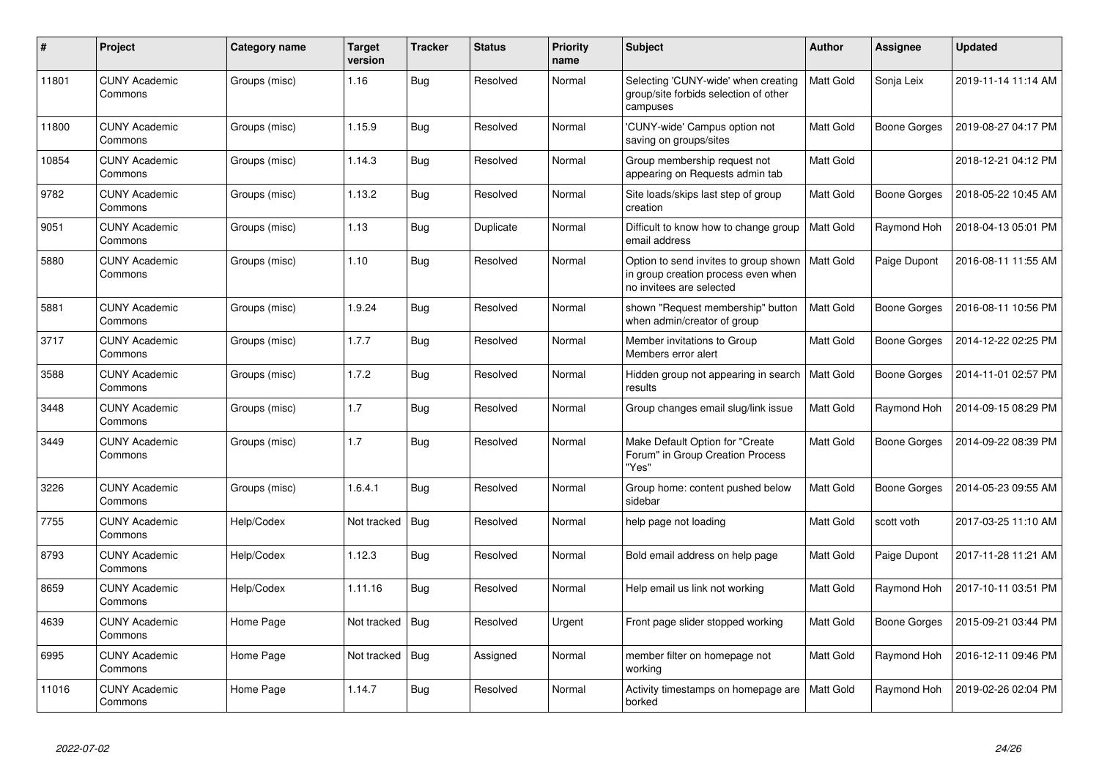| #     | Project                         | Category name | <b>Target</b><br>version | <b>Tracker</b> | <b>Status</b> | <b>Priority</b><br>name | <b>Subject</b>                                                                                                       | <b>Author</b>    | Assignee            | <b>Updated</b>      |
|-------|---------------------------------|---------------|--------------------------|----------------|---------------|-------------------------|----------------------------------------------------------------------------------------------------------------------|------------------|---------------------|---------------------|
| 11801 | <b>CUNY Academic</b><br>Commons | Groups (misc) | 1.16                     | Bug            | Resolved      | Normal                  | Selecting 'CUNY-wide' when creating<br>group/site forbids selection of other<br>campuses                             | Matt Gold        | Sonja Leix          | 2019-11-14 11:14 AM |
| 11800 | <b>CUNY Academic</b><br>Commons | Groups (misc) | 1.15.9                   | Bug            | Resolved      | Normal                  | 'CUNY-wide' Campus option not<br>saving on groups/sites                                                              | Matt Gold        | <b>Boone Gorges</b> | 2019-08-27 04:17 PM |
| 10854 | <b>CUNY Academic</b><br>Commons | Groups (misc) | 1.14.3                   | Bug            | Resolved      | Normal                  | Group membership request not<br>appearing on Requests admin tab                                                      | Matt Gold        |                     | 2018-12-21 04:12 PM |
| 9782  | <b>CUNY Academic</b><br>Commons | Groups (misc) | 1.13.2                   | Bug            | Resolved      | Normal                  | Site loads/skips last step of group<br>creation                                                                      | Matt Gold        | Boone Gorges        | 2018-05-22 10:45 AM |
| 9051  | <b>CUNY Academic</b><br>Commons | Groups (misc) | 1.13                     | <b>Bug</b>     | Duplicate     | Normal                  | Difficult to know how to change group<br>email address                                                               | Matt Gold        | Raymond Hoh         | 2018-04-13 05:01 PM |
| 5880  | <b>CUNY Academic</b><br>Commons | Groups (misc) | 1.10                     | Bug            | Resolved      | Normal                  | Option to send invites to group shown   Matt Gold<br>in group creation process even when<br>no invitees are selected |                  | Paige Dupont        | 2016-08-11 11:55 AM |
| 5881  | <b>CUNY Academic</b><br>Commons | Groups (misc) | 1.9.24                   | <b>Bug</b>     | Resolved      | Normal                  | shown "Request membership" button<br>when admin/creator of group                                                     | <b>Matt Gold</b> | <b>Boone Gorges</b> | 2016-08-11 10:56 PM |
| 3717  | <b>CUNY Academic</b><br>Commons | Groups (misc) | 1.7.7                    | <b>Bug</b>     | Resolved      | Normal                  | Member invitations to Group<br>Members error alert                                                                   | Matt Gold        | Boone Gorges        | 2014-12-22 02:25 PM |
| 3588  | <b>CUNY Academic</b><br>Commons | Groups (misc) | 1.7.2                    | <b>Bug</b>     | Resolved      | Normal                  | Hidden group not appearing in search<br>results                                                                      | <b>Matt Gold</b> | Boone Gorges        | 2014-11-01 02:57 PM |
| 3448  | <b>CUNY Academic</b><br>Commons | Groups (misc) | 1.7                      | Bug            | Resolved      | Normal                  | Group changes email slug/link issue                                                                                  | Matt Gold        | Raymond Hoh         | 2014-09-15 08:29 PM |
| 3449  | <b>CUNY Academic</b><br>Commons | Groups (misc) | 1.7                      | <b>Bug</b>     | Resolved      | Normal                  | Make Default Option for "Create<br>Forum" in Group Creation Process<br>"Yes"                                         | <b>Matt Gold</b> | <b>Boone Gorges</b> | 2014-09-22 08:39 PM |
| 3226  | <b>CUNY Academic</b><br>Commons | Groups (misc) | 1.6.4.1                  | Bug            | Resolved      | Normal                  | Group home: content pushed below<br>sidebar                                                                          | Matt Gold        | Boone Gorges        | 2014-05-23 09:55 AM |
| 7755  | <b>CUNY Academic</b><br>Commons | Help/Codex    | Not tracked              | Bug            | Resolved      | Normal                  | help page not loading                                                                                                | Matt Gold        | scott voth          | 2017-03-25 11:10 AM |
| 8793  | <b>CUNY Academic</b><br>Commons | Help/Codex    | 1.12.3                   | Bug            | Resolved      | Normal                  | Bold email address on help page                                                                                      | Matt Gold        | Paige Dupont        | 2017-11-28 11:21 AM |
| 8659  | <b>CUNY Academic</b><br>Commons | Help/Codex    | 1.11.16                  | <b>Bug</b>     | Resolved      | Normal                  | Help email us link not working                                                                                       | Matt Gold        | Raymond Hoh         | 2017-10-11 03:51 PM |
| 4639  | <b>CUNY Academic</b><br>Commons | Home Page     | Not tracked              | Bug            | Resolved      | Urgent                  | Front page slider stopped working                                                                                    | <b>Matt Gold</b> | Boone Gorges        | 2015-09-21 03:44 PM |
| 6995  | <b>CUNY Academic</b><br>Commons | Home Page     | Not tracked              | Bug            | Assigned      | Normal                  | member filter on homepage not<br>working                                                                             | Matt Gold        | Raymond Hoh         | 2016-12-11 09:46 PM |
| 11016 | <b>CUNY Academic</b><br>Commons | Home Page     | 1.14.7                   | <b>Bug</b>     | Resolved      | Normal                  | Activity timestamps on homepage are<br>borked                                                                        | <b>Matt Gold</b> | Raymond Hoh         | 2019-02-26 02:04 PM |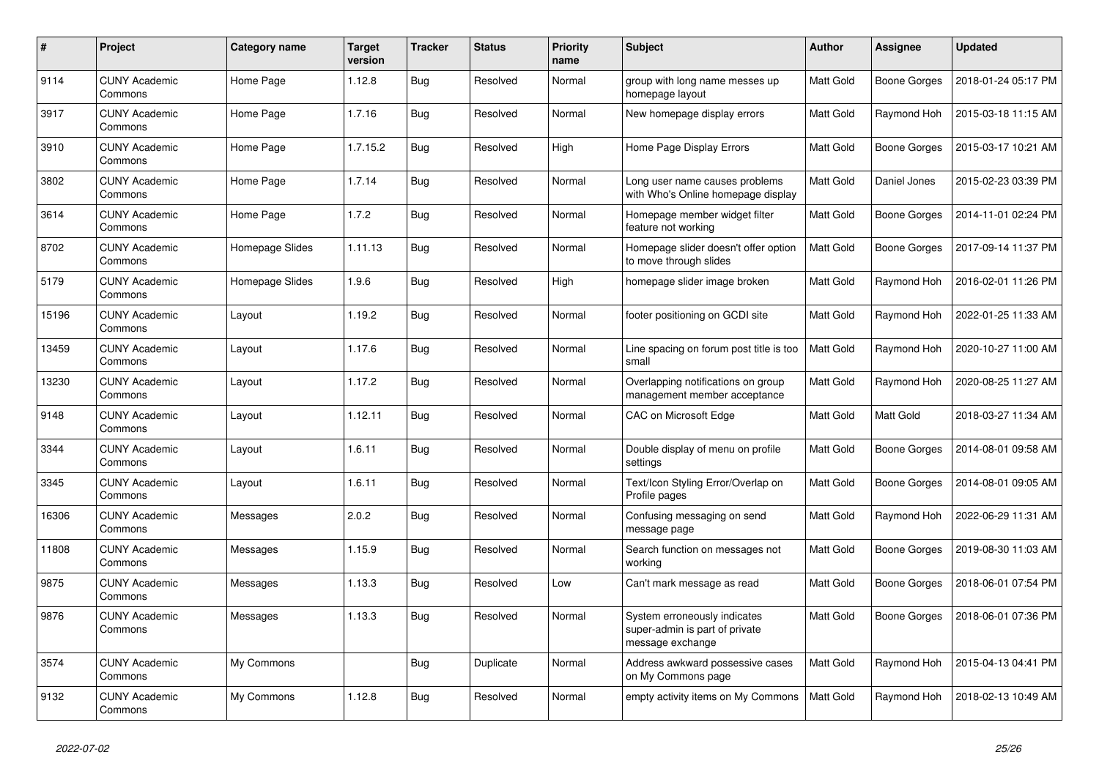| $\pmb{\#}$ | Project                         | Category name   | <b>Target</b><br>version | <b>Tracker</b> | <b>Status</b> | <b>Priority</b><br>name | <b>Subject</b>                                                                     | <b>Author</b> | Assignee            | <b>Updated</b>      |
|------------|---------------------------------|-----------------|--------------------------|----------------|---------------|-------------------------|------------------------------------------------------------------------------------|---------------|---------------------|---------------------|
| 9114       | <b>CUNY Academic</b><br>Commons | Home Page       | 1.12.8                   | Bug            | Resolved      | Normal                  | group with long name messes up<br>homepage layout                                  | Matt Gold     | Boone Gorges        | 2018-01-24 05:17 PM |
| 3917       | <b>CUNY Academic</b><br>Commons | Home Page       | 1.7.16                   | Bug            | Resolved      | Normal                  | New homepage display errors                                                        | Matt Gold     | Raymond Hoh         | 2015-03-18 11:15 AM |
| 3910       | <b>CUNY Academic</b><br>Commons | Home Page       | 1.7.15.2                 | Bug            | Resolved      | High                    | Home Page Display Errors                                                           | Matt Gold     | Boone Gorges        | 2015-03-17 10:21 AM |
| 3802       | <b>CUNY Academic</b><br>Commons | Home Page       | 1.7.14                   | <b>Bug</b>     | Resolved      | Normal                  | Long user name causes problems<br>with Who's Online homepage display               | Matt Gold     | Daniel Jones        | 2015-02-23 03:39 PM |
| 3614       | <b>CUNY Academic</b><br>Commons | Home Page       | 1.7.2                    | <b>Bug</b>     | Resolved      | Normal                  | Homepage member widget filter<br>feature not working                               | Matt Gold     | <b>Boone Gorges</b> | 2014-11-01 02:24 PM |
| 8702       | <b>CUNY Academic</b><br>Commons | Homepage Slides | 1.11.13                  | Bug            | Resolved      | Normal                  | Homepage slider doesn't offer option<br>to move through slides                     | Matt Gold     | <b>Boone Gorges</b> | 2017-09-14 11:37 PM |
| 5179       | <b>CUNY Academic</b><br>Commons | Homepage Slides | 1.9.6                    | Bug            | Resolved      | High                    | homepage slider image broken                                                       | Matt Gold     | Raymond Hoh         | 2016-02-01 11:26 PM |
| 15196      | <b>CUNY Academic</b><br>Commons | Layout          | 1.19.2                   | Bug            | Resolved      | Normal                  | footer positioning on GCDI site                                                    | Matt Gold     | Raymond Hoh         | 2022-01-25 11:33 AM |
| 13459      | <b>CUNY Academic</b><br>Commons | Layout          | 1.17.6                   | Bug            | Resolved      | Normal                  | Line spacing on forum post title is too<br>small                                   | Matt Gold     | Raymond Hoh         | 2020-10-27 11:00 AM |
| 13230      | <b>CUNY Academic</b><br>Commons | Layout          | 1.17.2                   | Bug            | Resolved      | Normal                  | Overlapping notifications on group<br>management member acceptance                 | Matt Gold     | Raymond Hoh         | 2020-08-25 11:27 AM |
| 9148       | <b>CUNY Academic</b><br>Commons | Layout          | 1.12.11                  | <b>Bug</b>     | Resolved      | Normal                  | CAC on Microsoft Edge                                                              | Matt Gold     | Matt Gold           | 2018-03-27 11:34 AM |
| 3344       | <b>CUNY Academic</b><br>Commons | Layout          | 1.6.11                   | Bug            | Resolved      | Normal                  | Double display of menu on profile<br>settings                                      | Matt Gold     | Boone Gorges        | 2014-08-01 09:58 AM |
| 3345       | <b>CUNY Academic</b><br>Commons | Layout          | 1.6.11                   | <b>Bug</b>     | Resolved      | Normal                  | Text/Icon Styling Error/Overlap on<br>Profile pages                                | Matt Gold     | Boone Gorges        | 2014-08-01 09:05 AM |
| 16306      | <b>CUNY Academic</b><br>Commons | Messages        | 2.0.2                    | <b>Bug</b>     | Resolved      | Normal                  | Confusing messaging on send<br>message page                                        | Matt Gold     | Raymond Hoh         | 2022-06-29 11:31 AM |
| 11808      | <b>CUNY Academic</b><br>Commons | Messages        | 1.15.9                   | Bug            | Resolved      | Normal                  | Search function on messages not<br>working                                         | Matt Gold     | Boone Gorges        | 2019-08-30 11:03 AM |
| 9875       | <b>CUNY Academic</b><br>Commons | Messages        | 1.13.3                   | Bug            | Resolved      | Low                     | Can't mark message as read                                                         | Matt Gold     | <b>Boone Gorges</b> | 2018-06-01 07:54 PM |
| 9876       | <b>CUNY Academic</b><br>Commons | Messages        | 1.13.3                   | <b>Bug</b>     | Resolved      | Normal                  | System erroneously indicates<br>super-admin is part of private<br>message exchange | Matt Gold     | Boone Gorges        | 2018-06-01 07:36 PM |
| 3574       | <b>CUNY Academic</b><br>Commons | My Commons      |                          | <b>Bug</b>     | Duplicate     | Normal                  | Address awkward possessive cases<br>on My Commons page                             | Matt Gold     | Raymond Hoh         | 2015-04-13 04:41 PM |
| 9132       | <b>CUNY Academic</b><br>Commons | My Commons      | 1.12.8                   | Bug            | Resolved      | Normal                  | empty activity items on My Commons                                                 | Matt Gold     | Raymond Hoh         | 2018-02-13 10:49 AM |